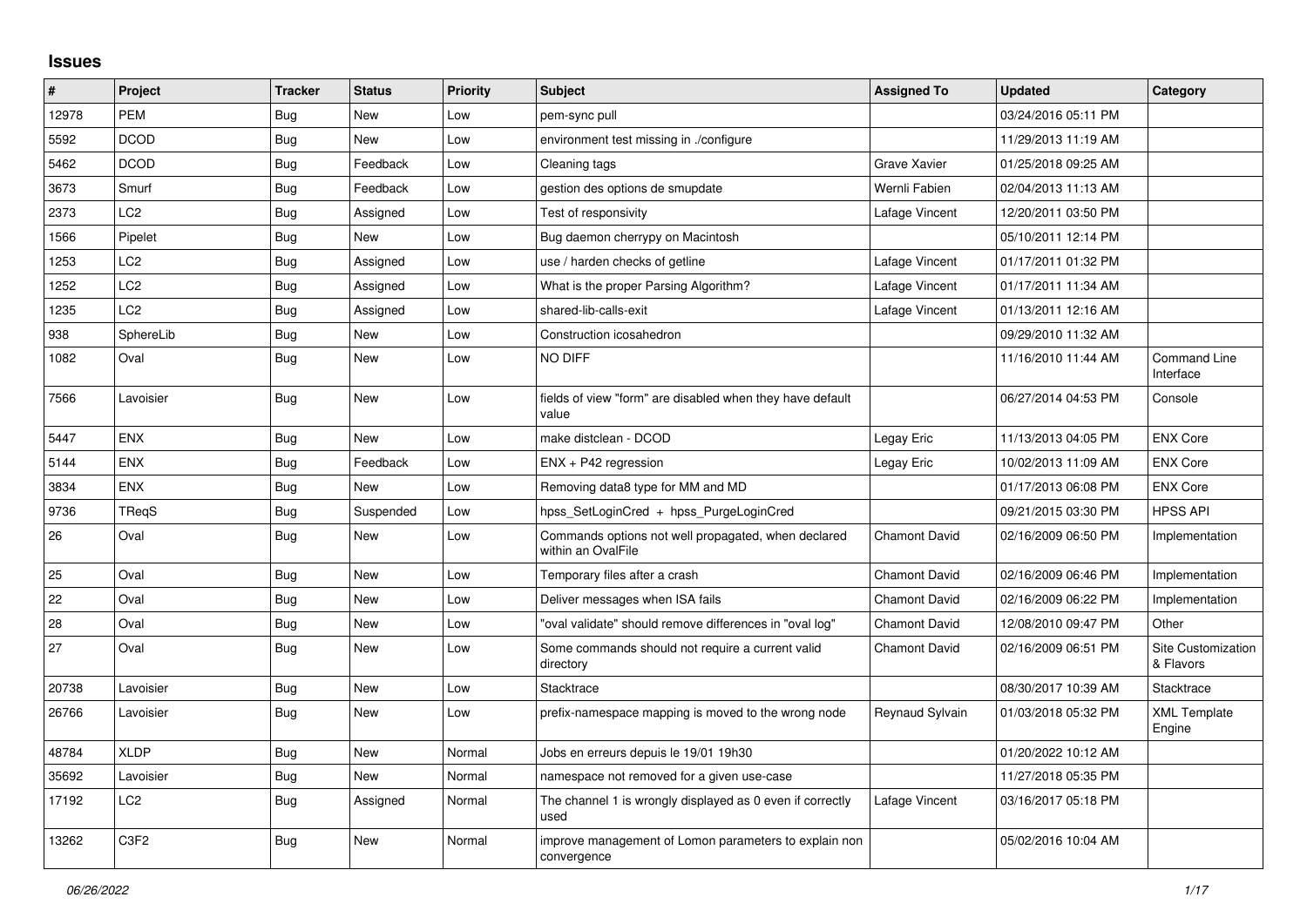## **Issues**

| #     | Project          | <b>Tracker</b> | <b>Status</b> | <b>Priority</b> | <b>Subject</b>                                                            | <b>Assigned To</b>   | <b>Updated</b>      | Category                         |
|-------|------------------|----------------|---------------|-----------------|---------------------------------------------------------------------------|----------------------|---------------------|----------------------------------|
| 12978 | <b>PEM</b>       | Bug            | New           | Low             | pem-sync pull                                                             |                      | 03/24/2016 05:11 PM |                                  |
| 5592  | <b>DCOD</b>      | Bug            | New           | Low             | environment test missing in ./configure                                   |                      | 11/29/2013 11:19 AM |                                  |
| 5462  | <b>DCOD</b>      | Bug            | Feedback      | Low             | Cleaning tags                                                             | Grave Xavier         | 01/25/2018 09:25 AM |                                  |
| 3673  | Smurf            | <b>Bug</b>     | Feedback      | Low             | gestion des options de smupdate                                           | Wernli Fabien        | 02/04/2013 11:13 AM |                                  |
| 2373  | LC <sub>2</sub>  | Bug            | Assigned      | Low             | Test of responsivity                                                      | Lafage Vincent       | 12/20/2011 03:50 PM |                                  |
| 1566  | Pipelet          | <b>Bug</b>     | New           | Low             | Bug daemon cherrypy on Macintosh                                          |                      | 05/10/2011 12:14 PM |                                  |
| 1253  | LC <sub>2</sub>  | <b>Bug</b>     | Assigned      | Low             | use / harden checks of getline                                            | Lafage Vincent       | 01/17/2011 01:32 PM |                                  |
| 1252  | LC <sub>2</sub>  | Bug            | Assigned      | Low             | What is the proper Parsing Algorithm?                                     | Lafage Vincent       | 01/17/2011 11:34 AM |                                  |
| 1235  | LC2              | Bug            | Assigned      | Low             | shared-lib-calls-exit                                                     | Lafage Vincent       | 01/13/2011 12:16 AM |                                  |
| 938   | SphereLib        | <b>Bug</b>     | <b>New</b>    | Low             | Construction icosahedron                                                  |                      | 09/29/2010 11:32 AM |                                  |
| 1082  | Oval             | Bug            | <b>New</b>    | Low             | <b>NO DIFF</b>                                                            |                      | 11/16/2010 11:44 AM | <b>Command Line</b><br>Interface |
| 7566  | Lavoisier        | Bug            | <b>New</b>    | Low             | fields of view "form" are disabled when they have default<br>value        |                      | 06/27/2014 04:53 PM | Console                          |
| 5447  | <b>ENX</b>       | Bug            | <b>New</b>    | Low             | make distclean - DCOD                                                     | Legay Eric           | 11/13/2013 04:05 PM | <b>ENX Core</b>                  |
| 5144  | ENX              | <b>Bug</b>     | Feedback      | Low             | $ENX + P42$ regression                                                    | Legay Eric           | 10/02/2013 11:09 AM | <b>ENX Core</b>                  |
| 3834  | <b>ENX</b>       | Bug            | <b>New</b>    | Low             | Removing data8 type for MM and MD                                         |                      | 01/17/2013 06:08 PM | <b>ENX Core</b>                  |
| 9736  | <b>TRegS</b>     | Bug            | Suspended     | Low             | hpss SetLoginCred + hpss PurgeLoginCred                                   |                      | 09/21/2015 03:30 PM | <b>HPSS API</b>                  |
| 26    | Oval             | <b>Bug</b>     | <b>New</b>    | Low             | Commands options not well propagated, when declared<br>within an OvalFile | <b>Chamont David</b> | 02/16/2009 06:50 PM | Implementation                   |
| 25    | Oval             | <b>Bug</b>     | New           | Low             | Temporary files after a crash                                             | Chamont David        | 02/16/2009 06:46 PM | Implementation                   |
| 22    | Oval             | <b>Bug</b>     | <b>New</b>    | Low             | Deliver messages when ISA fails                                           | <b>Chamont David</b> | 02/16/2009 06:22 PM | Implementation                   |
| 28    | Oval             | Bug            | <b>New</b>    | Low             | "oval validate" should remove differences in "oval log"                   | <b>Chamont David</b> | 12/08/2010 09:47 PM | Other                            |
| 27    | Oval             | Bug            | New           | Low             | Some commands should not require a current valid<br>directory             | <b>Chamont David</b> | 02/16/2009 06:51 PM | Site Customization<br>& Flavors  |
| 20738 | Lavoisier        | Bug            | New           | Low             | Stacktrace                                                                |                      | 08/30/2017 10:39 AM | Stacktrace                       |
| 26766 | Lavoisier        | <b>Bug</b>     | <b>New</b>    | Low             | prefix-namespace mapping is moved to the wrong node                       | Reynaud Sylvain      | 01/03/2018 05:32 PM | <b>XML Template</b><br>Engine    |
| 48784 | <b>XLDP</b>      | Bug            | <b>New</b>    | Normal          | Jobs en erreurs depuis le 19/01 19h30                                     |                      | 01/20/2022 10:12 AM |                                  |
| 35692 | Lavoisier        | <b>Bug</b>     | <b>New</b>    | Normal          | namespace not removed for a given use-case                                |                      | 11/27/2018 05:35 PM |                                  |
| 17192 | LC2              | Bug            | Assigned      | Normal          | The channel 1 is wrongly displayed as 0 even if correctly<br>used         | Lafage Vincent       | 03/16/2017 05:18 PM |                                  |
| 13262 | C <sub>3F2</sub> | <b>Bug</b>     | New           | Normal          | improve management of Lomon parameters to explain non<br>convergence      |                      | 05/02/2016 10:04 AM |                                  |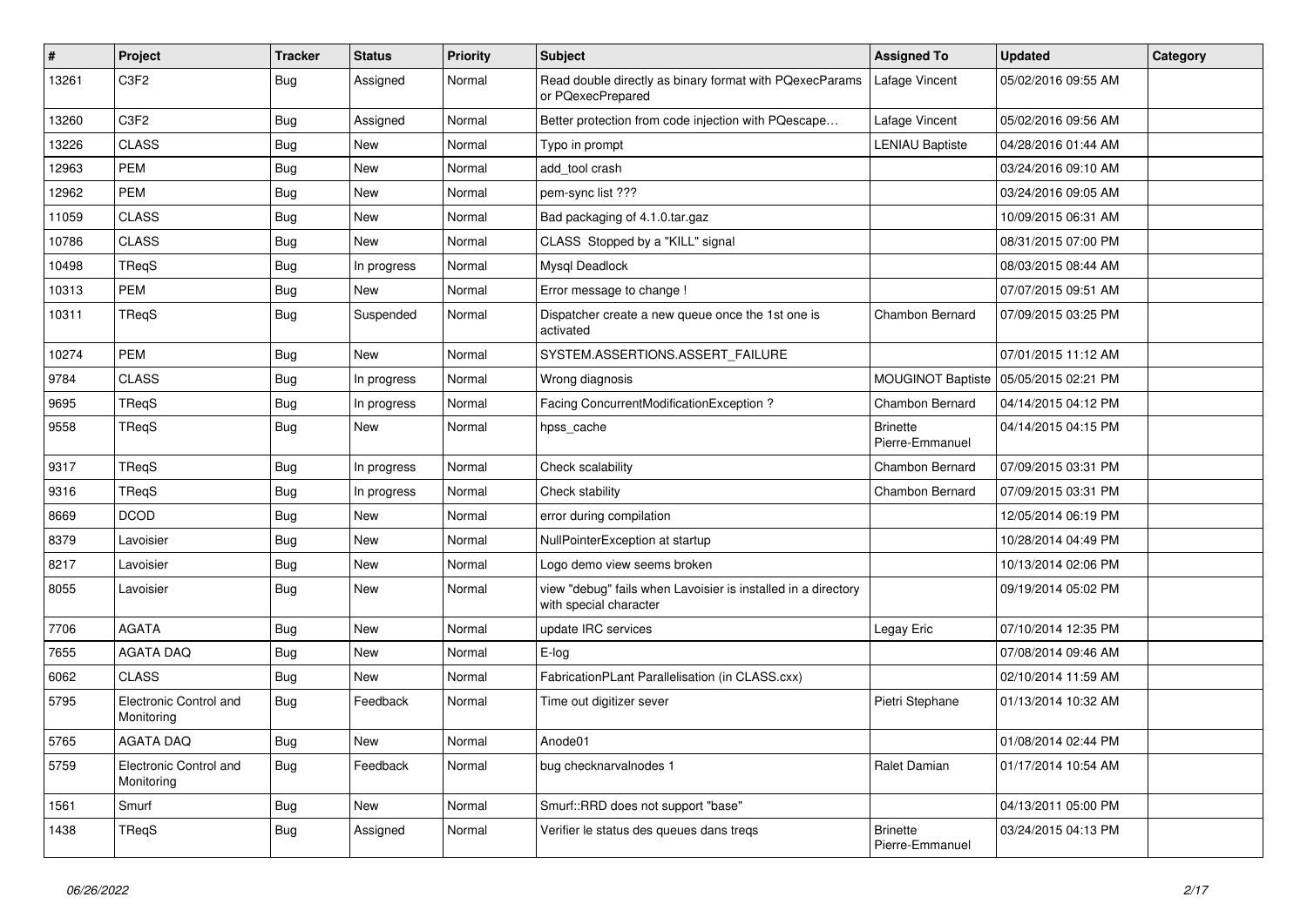| #     | Project                              | <b>Tracker</b> | <b>Status</b> | <b>Priority</b> | Subject                                                                                 | <b>Assigned To</b>                 | <b>Updated</b>      | Category |
|-------|--------------------------------------|----------------|---------------|-----------------|-----------------------------------------------------------------------------------------|------------------------------------|---------------------|----------|
| 13261 | C <sub>3F2</sub>                     | <b>Bug</b>     | Assigned      | Normal          | Read double directly as binary format with PQexecParams<br>or PQexecPrepared            | Lafage Vincent                     | 05/02/2016 09:55 AM |          |
| 13260 | C3F2                                 | <b>Bug</b>     | Assigned      | Normal          | Better protection from code injection with PQescape                                     | Lafage Vincent                     | 05/02/2016 09:56 AM |          |
| 13226 | <b>CLASS</b>                         | <b>Bug</b>     | New           | Normal          | Typo in prompt                                                                          | <b>LENIAU Baptiste</b>             | 04/28/2016 01:44 AM |          |
| 12963 | <b>PEM</b>                           | <b>Bug</b>     | <b>New</b>    | Normal          | add_tool crash                                                                          |                                    | 03/24/2016 09:10 AM |          |
| 12962 | <b>PEM</b>                           | <b>Bug</b>     | <b>New</b>    | Normal          | pem-sync list ???                                                                       |                                    | 03/24/2016 09:05 AM |          |
| 11059 | <b>CLASS</b>                         | <b>Bug</b>     | New           | Normal          | Bad packaging of 4.1.0.tar.gaz                                                          |                                    | 10/09/2015 06:31 AM |          |
| 10786 | <b>CLASS</b>                         | <b>Bug</b>     | New           | Normal          | CLASS Stopped by a "KILL" signal                                                        |                                    | 08/31/2015 07:00 PM |          |
| 10498 | TReqS                                | Bug            | In progress   | Normal          | Mysql Deadlock                                                                          |                                    | 08/03/2015 08:44 AM |          |
| 10313 | <b>PEM</b>                           | <b>Bug</b>     | New           | Normal          | Error message to change !                                                               |                                    | 07/07/2015 09:51 AM |          |
| 10311 | TReqS                                | <b>Bug</b>     | Suspended     | Normal          | Dispatcher create a new queue once the 1st one is<br>activated                          | Chambon Bernard                    | 07/09/2015 03:25 PM |          |
| 10274 | <b>PEM</b>                           | <b>Bug</b>     | <b>New</b>    | Normal          | SYSTEM.ASSERTIONS.ASSERT_FAILURE                                                        |                                    | 07/01/2015 11:12 AM |          |
| 9784  | <b>CLASS</b>                         | <b>Bug</b>     | In progress   | Normal          | Wrong diagnosis                                                                         | <b>MOUGINOT Baptiste</b>           | 05/05/2015 02:21 PM |          |
| 9695  | TReqS                                | <b>Bug</b>     | In progress   | Normal          | Facing ConcurrentModificationException?                                                 | Chambon Bernard                    | 04/14/2015 04:12 PM |          |
| 9558  | TReqS                                | Bug            | New           | Normal          | hpss_cache                                                                              | <b>Brinette</b><br>Pierre-Emmanuel | 04/14/2015 04:15 PM |          |
| 9317  | TReqS                                | <b>Bug</b>     | In progress   | Normal          | Check scalability                                                                       | Chambon Bernard                    | 07/09/2015 03:31 PM |          |
| 9316  | TReqS                                | <b>Bug</b>     | In progress   | Normal          | Check stability                                                                         | Chambon Bernard                    | 07/09/2015 03:31 PM |          |
| 8669  | <b>DCOD</b>                          | <b>Bug</b>     | New           | Normal          | error during compilation                                                                |                                    | 12/05/2014 06:19 PM |          |
| 8379  | Lavoisier                            | <b>Bug</b>     | New           | Normal          | NullPointerException at startup                                                         |                                    | 10/28/2014 04:49 PM |          |
| 8217  | Lavoisier                            | <b>Bug</b>     | New           | Normal          | Logo demo view seems broken                                                             |                                    | 10/13/2014 02:06 PM |          |
| 8055  | Lavoisier                            | <b>Bug</b>     | New           | Normal          | view "debug" fails when Lavoisier is installed in a directory<br>with special character |                                    | 09/19/2014 05:02 PM |          |
| 7706  | <b>AGATA</b>                         | <b>Bug</b>     | New           | Normal          | update IRC services                                                                     | Legay Eric                         | 07/10/2014 12:35 PM |          |
| 7655  | <b>AGATA DAQ</b>                     | Bug            | <b>New</b>    | Normal          | E-log                                                                                   |                                    | 07/08/2014 09:46 AM |          |
| 6062  | <b>CLASS</b>                         | <b>Bug</b>     | New           | Normal          | FabricationPLant Parallelisation (in CLASS.cxx)                                         |                                    | 02/10/2014 11:59 AM |          |
| 5795  | Electronic Control and<br>Monitoring | Bug            | Feedback      | Normal          | Time out digitizer sever                                                                | Pietri Stephane                    | 01/13/2014 10:32 AM |          |
| 5765  | AGATA DAQ                            | <b>Bug</b>     | New           | Normal          | Anode01                                                                                 |                                    | 01/08/2014 02:44 PM |          |
| 5759  | Electronic Control and<br>Monitoring | <b>Bug</b>     | Feedback      | Normal          | bug checknarvalnodes 1                                                                  | Ralet Damian                       | 01/17/2014 10:54 AM |          |
| 1561  | Smurf                                | <b>Bug</b>     | New           | Normal          | Smurf::RRD does not support "base"                                                      |                                    | 04/13/2011 05:00 PM |          |
| 1438  | TReqS                                | <b>Bug</b>     | Assigned      | Normal          | Verifier le status des queues dans treqs                                                | <b>Brinette</b><br>Pierre-Emmanuel | 03/24/2015 04:13 PM |          |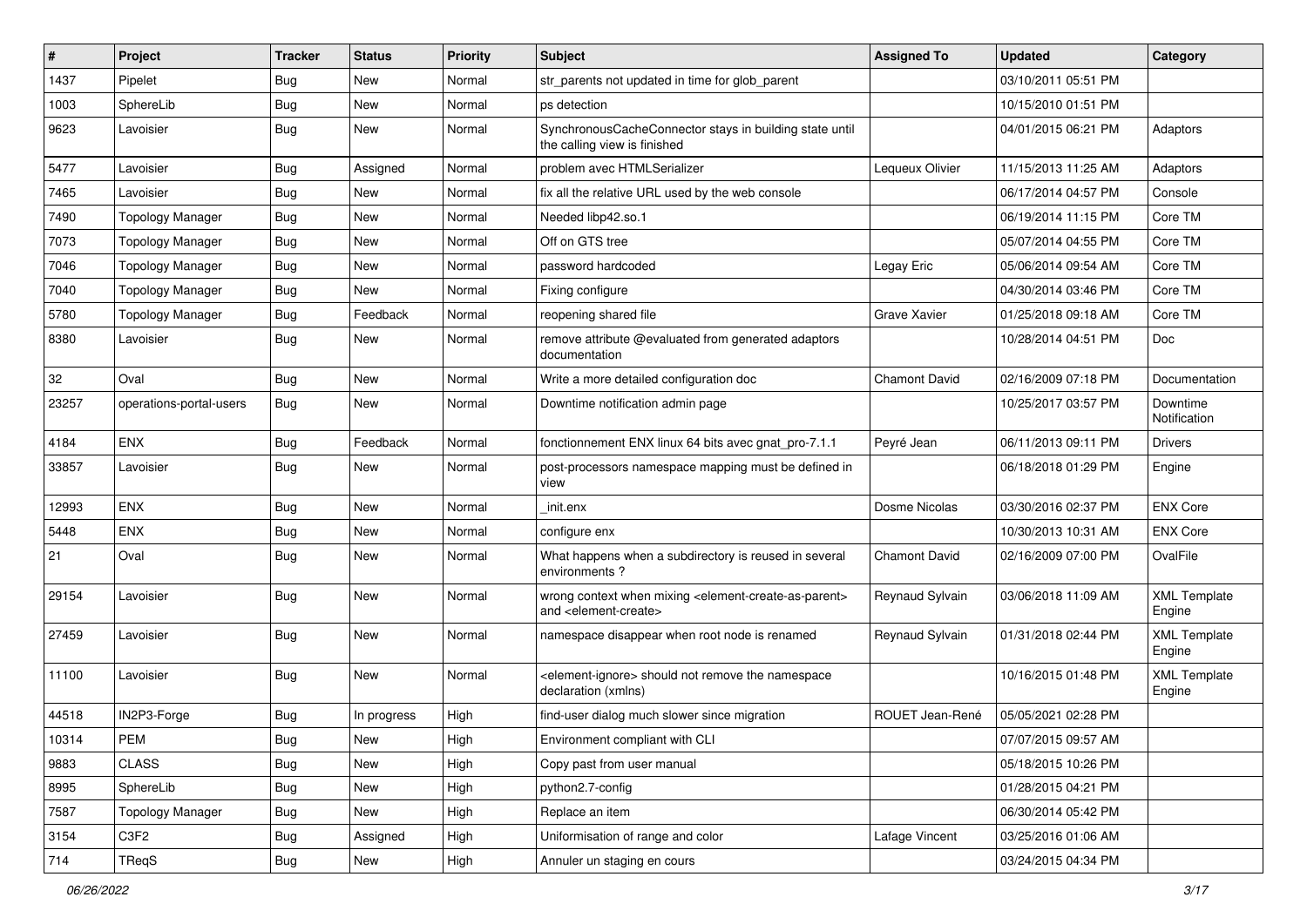| $\pmb{\#}$ | Project                 | <b>Tracker</b> | <b>Status</b> | <b>Priority</b> | <b>Subject</b>                                                                                                            | <b>Assigned To</b>     | <b>Updated</b>      | Category                      |
|------------|-------------------------|----------------|---------------|-----------------|---------------------------------------------------------------------------------------------------------------------------|------------------------|---------------------|-------------------------------|
| 1437       | Pipelet                 | Bug            | New           | Normal          | str_parents not updated in time for glob_parent                                                                           |                        | 03/10/2011 05:51 PM |                               |
| 1003       | SphereLib               | <b>Bug</b>     | New           | Normal          | ps detection                                                                                                              |                        | 10/15/2010 01:51 PM |                               |
| 9623       | Lavoisier               | Bug            | New           | Normal          | SynchronousCacheConnector stays in building state until<br>the calling view is finished                                   |                        | 04/01/2015 06:21 PM | Adaptors                      |
| 5477       | Lavoisier               | Bug            | Assigned      | Normal          | problem avec HTMLSerializer                                                                                               | Lequeux Olivier        | 11/15/2013 11:25 AM | Adaptors                      |
| 7465       | Lavoisier               | <b>Bug</b>     | New           | Normal          | fix all the relative URL used by the web console                                                                          |                        | 06/17/2014 04:57 PM | Console                       |
| 7490       | <b>Topology Manager</b> | Bug            | New           | Normal          | Needed libp42.so.1                                                                                                        |                        | 06/19/2014 11:15 PM | Core TM                       |
| 7073       | <b>Topology Manager</b> | Bug            | New           | Normal          | Off on GTS tree                                                                                                           |                        | 05/07/2014 04:55 PM | Core TM                       |
| 7046       | <b>Topology Manager</b> | Bug            | New           | Normal          | password hardcoded                                                                                                        | Legay Eric             | 05/06/2014 09:54 AM | Core TM                       |
| 7040       | <b>Topology Manager</b> | <b>Bug</b>     | New           | Normal          | Fixing configure                                                                                                          |                        | 04/30/2014 03:46 PM | Core TM                       |
| 5780       | <b>Topology Manager</b> | <b>Bug</b>     | Feedback      | Normal          | reopening shared file                                                                                                     | Grave Xavier           | 01/25/2018 09:18 AM | Core TM                       |
| 8380       | Lavoisier               | Bug            | New           | Normal          | remove attribute @evaluated from generated adaptors<br>documentation                                                      |                        | 10/28/2014 04:51 PM | Doc                           |
| 32         | Oval                    | Bug            | New           | Normal          | Write a more detailed configuration doc                                                                                   | <b>Chamont David</b>   | 02/16/2009 07:18 PM | Documentation                 |
| 23257      | operations-portal-users | <b>Bug</b>     | New           | Normal          | Downtime notification admin page                                                                                          |                        | 10/25/2017 03:57 PM | Downtime<br>Notification      |
| 4184       | <b>ENX</b>              | <b>Bug</b>     | Feedback      | Normal          | fonctionnement ENX linux 64 bits avec gnat_pro-7.1.1                                                                      | Peyré Jean             | 06/11/2013 09:11 PM | <b>Drivers</b>                |
| 33857      | Lavoisier               | <b>Bug</b>     | New           | Normal          | post-processors namespace mapping must be defined in<br>view                                                              |                        | 06/18/2018 01:29 PM | Engine                        |
| 12993      | <b>ENX</b>              | Bug            | New           | Normal          | init.enx                                                                                                                  | Dosme Nicolas          | 03/30/2016 02:37 PM | <b>ENX Core</b>               |
| 5448       | <b>ENX</b>              | Bug            | New           | Normal          | configure enx                                                                                                             |                        | 10/30/2013 10:31 AM | <b>ENX Core</b>               |
| 21         | Oval                    | Bug            | New           | Normal          | What happens when a subdirectory is reused in several<br>environments?                                                    | <b>Chamont David</b>   | 02/16/2009 07:00 PM | OvalFile                      |
| 29154      | Lavoisier               | Bug            | New           | Normal          | wrong context when mixing <element-create-as-parent><br/>and <element-create></element-create></element-create-as-parent> | Reynaud Sylvain        | 03/06/2018 11:09 AM | <b>XML Template</b><br>Engine |
| 27459      | Lavoisier               | <b>Bug</b>     | New           | Normal          | namespace disappear when root node is renamed                                                                             | <b>Reynaud Sylvain</b> | 01/31/2018 02:44 PM | <b>XML Template</b><br>Engine |
| 11100      | Lavoisier               | Bug            | New           | Normal          | <element-ignore> should not remove the namespace<br/>declaration (xmlns)</element-ignore>                                 |                        | 10/16/2015 01:48 PM | <b>XML Template</b><br>Engine |
| 44518      | IN2P3-Forge             | Bug            | In progress   | High            | find-user dialog much slower since migration                                                                              | ROUET Jean-René        | 05/05/2021 02:28 PM |                               |
| 10314      | PEM                     | Bug            | New           | High            | Environment compliant with CLI                                                                                            |                        | 07/07/2015 09:57 AM |                               |
| 9883       | <b>CLASS</b>            | <b>Bug</b>     | New           | High            | Copy past from user manual                                                                                                |                        | 05/18/2015 10:26 PM |                               |
| 8995       | SphereLib               | <b>Bug</b>     | New           | High            | python2.7-config                                                                                                          |                        | 01/28/2015 04:21 PM |                               |
| 7587       | <b>Topology Manager</b> | <b>Bug</b>     | New           | High            | Replace an item                                                                                                           |                        | 06/30/2014 05:42 PM |                               |
| 3154       | C3F2                    | <b>Bug</b>     | Assigned      | High            | Uniformisation of range and color                                                                                         | Lafage Vincent         | 03/25/2016 01:06 AM |                               |
| 714        | TReqS                   | Bug            | New           | High            | Annuler un staging en cours                                                                                               |                        | 03/24/2015 04:34 PM |                               |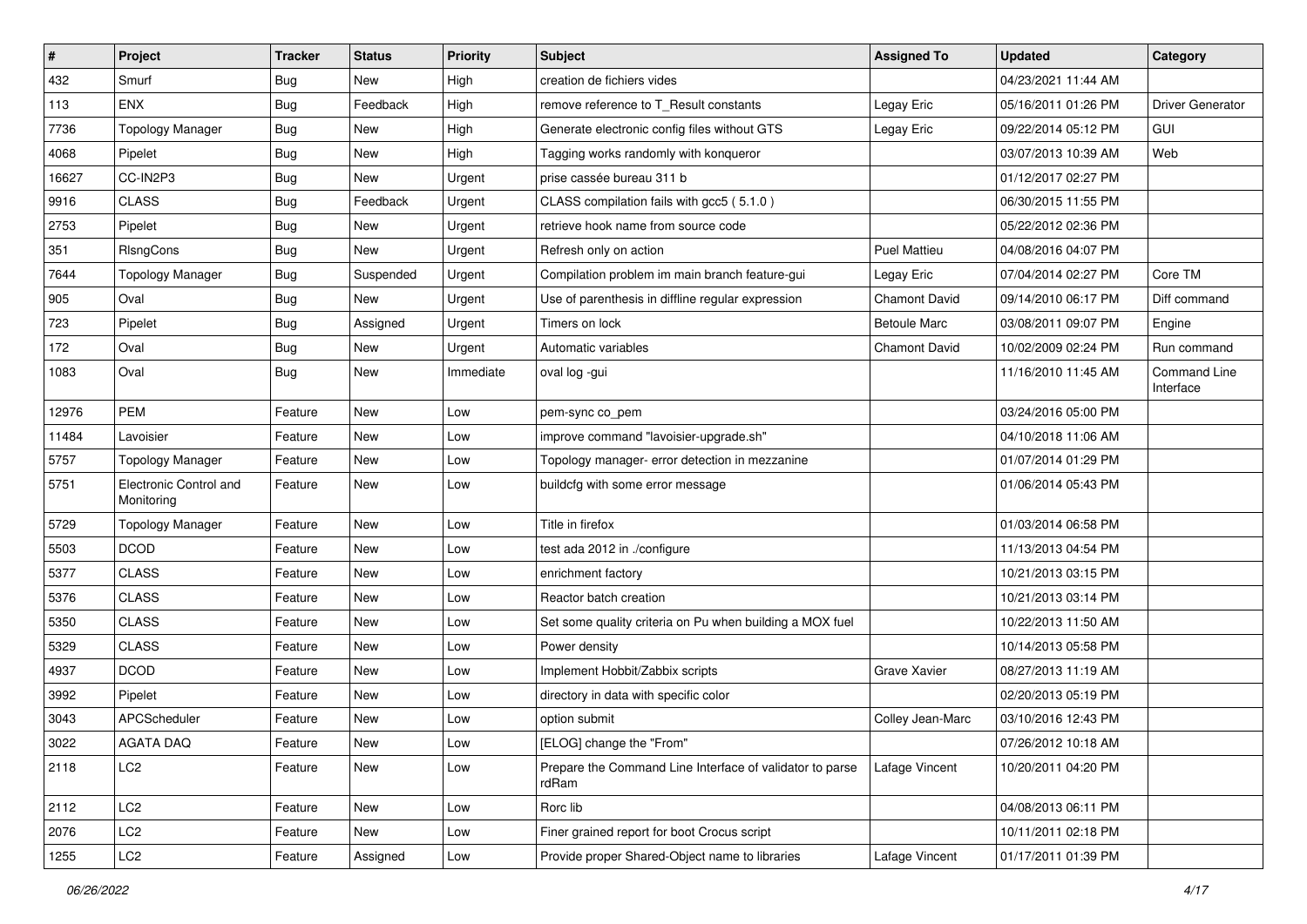| $\sharp$ | Project                              | <b>Tracker</b> | <b>Status</b> | <b>Priority</b> | Subject                                                           | <b>Assigned To</b>   | <b>Updated</b>      | Category                         |
|----------|--------------------------------------|----------------|---------------|-----------------|-------------------------------------------------------------------|----------------------|---------------------|----------------------------------|
| 432      | Smurf                                | <b>Bug</b>     | New           | High            | creation de fichiers vides                                        |                      | 04/23/2021 11:44 AM |                                  |
| 113      | ENX                                  | Bug            | Feedback      | High            | remove reference to T_Result constants                            | Legay Eric           | 05/16/2011 01:26 PM | <b>Driver Generator</b>          |
| 7736     | <b>Topology Manager</b>              | <b>Bug</b>     | New           | High            | Generate electronic config files without GTS                      | Legay Eric           | 09/22/2014 05:12 PM | <b>GUI</b>                       |
| 4068     | Pipelet                              | <b>Bug</b>     | <b>New</b>    | High            | Tagging works randomly with konqueror                             |                      | 03/07/2013 10:39 AM | Web                              |
| 16627    | CC-IN2P3                             | <b>Bug</b>     | <b>New</b>    | Urgent          | prise cassée bureau 311 b                                         |                      | 01/12/2017 02:27 PM |                                  |
| 9916     | <b>CLASS</b>                         | <b>Bug</b>     | Feedback      | Urgent          | CLASS compilation fails with gcc5 (5.1.0)                         |                      | 06/30/2015 11:55 PM |                                  |
| 2753     | Pipelet                              | <b>Bug</b>     | New           | Urgent          | retrieve hook name from source code                               |                      | 05/22/2012 02:36 PM |                                  |
| 351      | RIsngCons                            | Bug            | <b>New</b>    | Urgent          | Refresh only on action                                            | <b>Puel Mattieu</b>  | 04/08/2016 04:07 PM |                                  |
| 7644     | <b>Topology Manager</b>              | <b>Bug</b>     | Suspended     | Urgent          | Compilation problem im main branch feature-gui                    | Legay Eric           | 07/04/2014 02:27 PM | Core TM                          |
| 905      | Oval                                 | Bug            | <b>New</b>    | Urgent          | Use of parenthesis in diffline regular expression                 | <b>Chamont David</b> | 09/14/2010 06:17 PM | Diff command                     |
| 723      | Pipelet                              | <b>Bug</b>     | Assigned      | Urgent          | Timers on lock                                                    | <b>Betoule Marc</b>  | 03/08/2011 09:07 PM | Engine                           |
| 172      | Oval                                 | Bug            | <b>New</b>    | Urgent          | Automatic variables                                               | <b>Chamont David</b> | 10/02/2009 02:24 PM | Run command                      |
| 1083     | Oval                                 | Bug            | <b>New</b>    | Immediate       | oval log -gui                                                     |                      | 11/16/2010 11:45 AM | <b>Command Line</b><br>Interface |
| 12976    | <b>PEM</b>                           | Feature        | New           | Low             | pem-sync co_pem                                                   |                      | 03/24/2016 05:00 PM |                                  |
| 11484    | Lavoisier                            | Feature        | New           | Low             | improve command "lavoisier-upgrade.sh"                            |                      | 04/10/2018 11:06 AM |                                  |
| 5757     | <b>Topology Manager</b>              | Feature        | New           | Low             | Topology manager- error detection in mezzanine                    |                      | 01/07/2014 01:29 PM |                                  |
| 5751     | Electronic Control and<br>Monitoring | Feature        | <b>New</b>    | Low             | buildcfg with some error message                                  |                      | 01/06/2014 05:43 PM |                                  |
| 5729     | <b>Topology Manager</b>              | Feature        | <b>New</b>    | Low             | Title in firefox                                                  |                      | 01/03/2014 06:58 PM |                                  |
| 5503     | <b>DCOD</b>                          | Feature        | New           | Low             | test ada 2012 in ./configure                                      |                      | 11/13/2013 04:54 PM |                                  |
| 5377     | <b>CLASS</b>                         | Feature        | New           | Low             | enrichment factory                                                |                      | 10/21/2013 03:15 PM |                                  |
| 5376     | <b>CLASS</b>                         | Feature        | New           | Low             | Reactor batch creation                                            |                      | 10/21/2013 03:14 PM |                                  |
| 5350     | <b>CLASS</b>                         | Feature        | New           | Low             | Set some quality criteria on Pu when building a MOX fuel          |                      | 10/22/2013 11:50 AM |                                  |
| 5329     | <b>CLASS</b>                         | Feature        | New           | Low             | Power density                                                     |                      | 10/14/2013 05:58 PM |                                  |
| 4937     | <b>DCOD</b>                          | Feature        | New           | Low             | Implement Hobbit/Zabbix scripts                                   | Grave Xavier         | 08/27/2013 11:19 AM |                                  |
| 3992     | Pipelet                              | Feature        | New           | Low             | directory in data with specific color                             |                      | 02/20/2013 05:19 PM |                                  |
| 3043     | APCScheduler                         | Feature        | New           | Low             | option submit                                                     | Colley Jean-Marc     | 03/10/2016 12:43 PM |                                  |
| 3022     | <b>AGATA DAQ</b>                     | Feature        | New           | Low             | [ELOG] change the "From"                                          |                      | 07/26/2012 10:18 AM |                                  |
| 2118     | LC <sub>2</sub>                      | Feature        | New           | Low             | Prepare the Command Line Interface of validator to parse<br>rdRam | Lafage Vincent       | 10/20/2011 04:20 PM |                                  |
| 2112     | LC <sub>2</sub>                      | Feature        | New           | Low             | Rorc lib                                                          |                      | 04/08/2013 06:11 PM |                                  |
| 2076     | LC <sub>2</sub>                      | Feature        | New           | Low             | Finer grained report for boot Crocus script                       |                      | 10/11/2011 02:18 PM |                                  |
| 1255     | LC <sub>2</sub>                      | Feature        | Assigned      | Low             | Provide proper Shared-Object name to libraries                    | Lafage Vincent       | 01/17/2011 01:39 PM |                                  |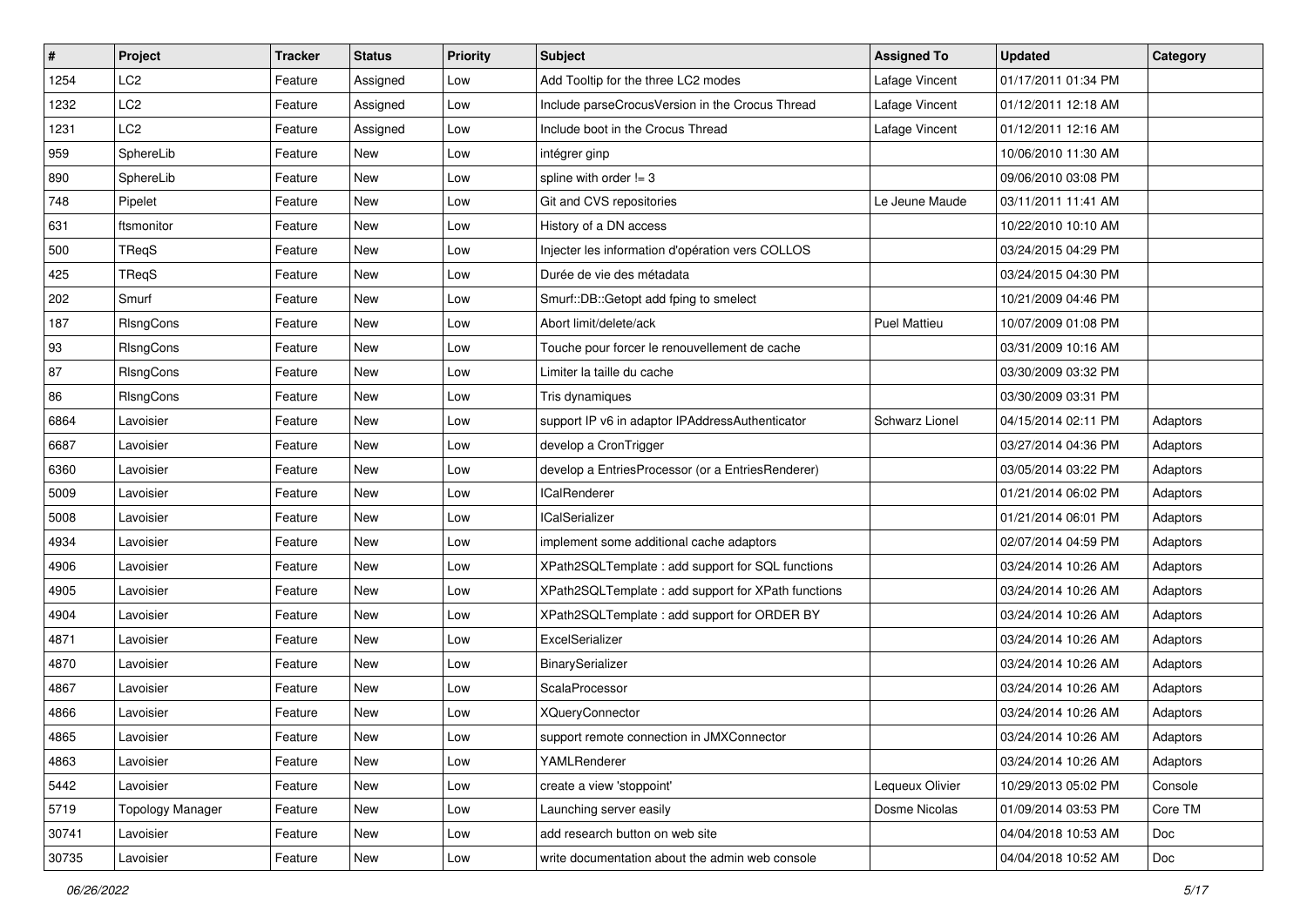| $\pmb{\#}$ | <b>Project</b>          | <b>Tracker</b> | <b>Status</b> | <b>Priority</b> | <b>Subject</b>                                     | <b>Assigned To</b>  | <b>Updated</b>      | Category |
|------------|-------------------------|----------------|---------------|-----------------|----------------------------------------------------|---------------------|---------------------|----------|
| 1254       | LC <sub>2</sub>         | Feature        | Assigned      | Low             | Add Tooltip for the three LC2 modes                | Lafage Vincent      | 01/17/2011 01:34 PM |          |
| 1232       | LC <sub>2</sub>         | Feature        | Assigned      | Low             | Include parseCrocusVersion in the Crocus Thread    | Lafage Vincent      | 01/12/2011 12:18 AM |          |
| 1231       | LC <sub>2</sub>         | Feature        | Assigned      | Low             | Include boot in the Crocus Thread                  | Lafage Vincent      | 01/12/2011 12:16 AM |          |
| 959        | SphereLib               | Feature        | New           | Low             | intégrer ginp                                      |                     | 10/06/2010 11:30 AM |          |
| 890        | SphereLib               | Feature        | <b>New</b>    | Low             | spline with order $!= 3$                           |                     | 09/06/2010 03:08 PM |          |
| 748        | Pipelet                 | Feature        | New           | Low             | Git and CVS repositories                           | Le Jeune Maude      | 03/11/2011 11:41 AM |          |
| 631        | ftsmonitor              | Feature        | New           | Low             | History of a DN access                             |                     | 10/22/2010 10:10 AM |          |
| 500        | TReqS                   | Feature        | New           | Low             | Injecter les information d'opération vers COLLOS   |                     | 03/24/2015 04:29 PM |          |
| 425        | TReqS                   | Feature        | New           | Low             | Durée de vie des métadata                          |                     | 03/24/2015 04:30 PM |          |
| 202        | Smurf                   | Feature        | New           | Low             | Smurf::DB::Getopt add fping to smelect             |                     | 10/21/2009 04:46 PM |          |
| 187        | RIsngCons               | Feature        | New           | Low             | Abort limit/delete/ack                             | <b>Puel Mattieu</b> | 10/07/2009 01:08 PM |          |
| 93         | RIsngCons               | Feature        | New           | Low             | Touche pour forcer le renouvellement de cache      |                     | 03/31/2009 10:16 AM |          |
| 87         | RIsngCons               | Feature        | New           | Low             | Limiter la taille du cache                         |                     | 03/30/2009 03:32 PM |          |
| 86         | RIsngCons               | Feature        | New           | Low             | Tris dynamiques                                    |                     | 03/30/2009 03:31 PM |          |
| 6864       | Lavoisier               | Feature        | New           | Low             | support IP v6 in adaptor IPAddressAuthenticator    | Schwarz Lionel      | 04/15/2014 02:11 PM | Adaptors |
| 6687       | Lavoisier               | Feature        | New           | Low             | develop a CronTrigger                              |                     | 03/27/2014 04:36 PM | Adaptors |
| 6360       | Lavoisier               | Feature        | New           | Low             | develop a EntriesProcessor (or a EntriesRenderer)  |                     | 03/05/2014 03:22 PM | Adaptors |
| 5009       | Lavoisier               | Feature        | <b>New</b>    | Low             | <b>ICalRenderer</b>                                |                     | 01/21/2014 06:02 PM | Adaptors |
| 5008       | Lavoisier               | Feature        | New           | Low             | <b>ICalSerializer</b>                              |                     | 01/21/2014 06:01 PM | Adaptors |
| 4934       | Lavoisier               | Feature        | New           | Low             | implement some additional cache adaptors           |                     | 02/07/2014 04:59 PM | Adaptors |
| 4906       | Lavoisier               | Feature        | New           | Low             | XPath2SQLTemplate: add support for SQL functions   |                     | 03/24/2014 10:26 AM | Adaptors |
| 4905       | Lavoisier               | Feature        | New           | Low             | XPath2SQLTemplate: add support for XPath functions |                     | 03/24/2014 10:26 AM | Adaptors |
| 4904       | Lavoisier               | Feature        | New           | Low             | XPath2SQLTemplate : add support for ORDER BY       |                     | 03/24/2014 10:26 AM | Adaptors |
| 4871       | Lavoisier               | Feature        | New           | Low             | ExcelSerializer                                    |                     | 03/24/2014 10:26 AM | Adaptors |
| 4870       | Lavoisier               | Feature        | New           | Low             | BinarySerializer                                   |                     | 03/24/2014 10:26 AM | Adaptors |
| 4867       | Lavoisier               | Feature        | New           | Low             | ScalaProcessor                                     |                     | 03/24/2014 10:26 AM | Adaptors |
| 4866       | Lavoisier               | Feature        | New           | Low             | <b>XQueryConnector</b>                             |                     | 03/24/2014 10:26 AM | Adaptors |
| 4865       | Lavoisier               | Feature        | New           | Low             | support remote connection in JMXConnector          |                     | 03/24/2014 10:26 AM | Adaptors |
| 4863       | Lavoisier               | Feature        | New           | Low             | YAMLRenderer                                       |                     | 03/24/2014 10:26 AM | Adaptors |
| 5442       | Lavoisier               | Feature        | New           | Low             | create a view 'stoppoint'                          | Lequeux Olivier     | 10/29/2013 05:02 PM | Console  |
| 5719       | <b>Topology Manager</b> | Feature        | New           | Low             | Launching server easily                            | Dosme Nicolas       | 01/09/2014 03:53 PM | Core TM  |
| 30741      | Lavoisier               | Feature        | New           | Low             | add research button on web site                    |                     | 04/04/2018 10:53 AM | Doc      |
| 30735      | Lavoisier               | Feature        | New           | Low             | write documentation about the admin web console    |                     | 04/04/2018 10:52 AM | Doc      |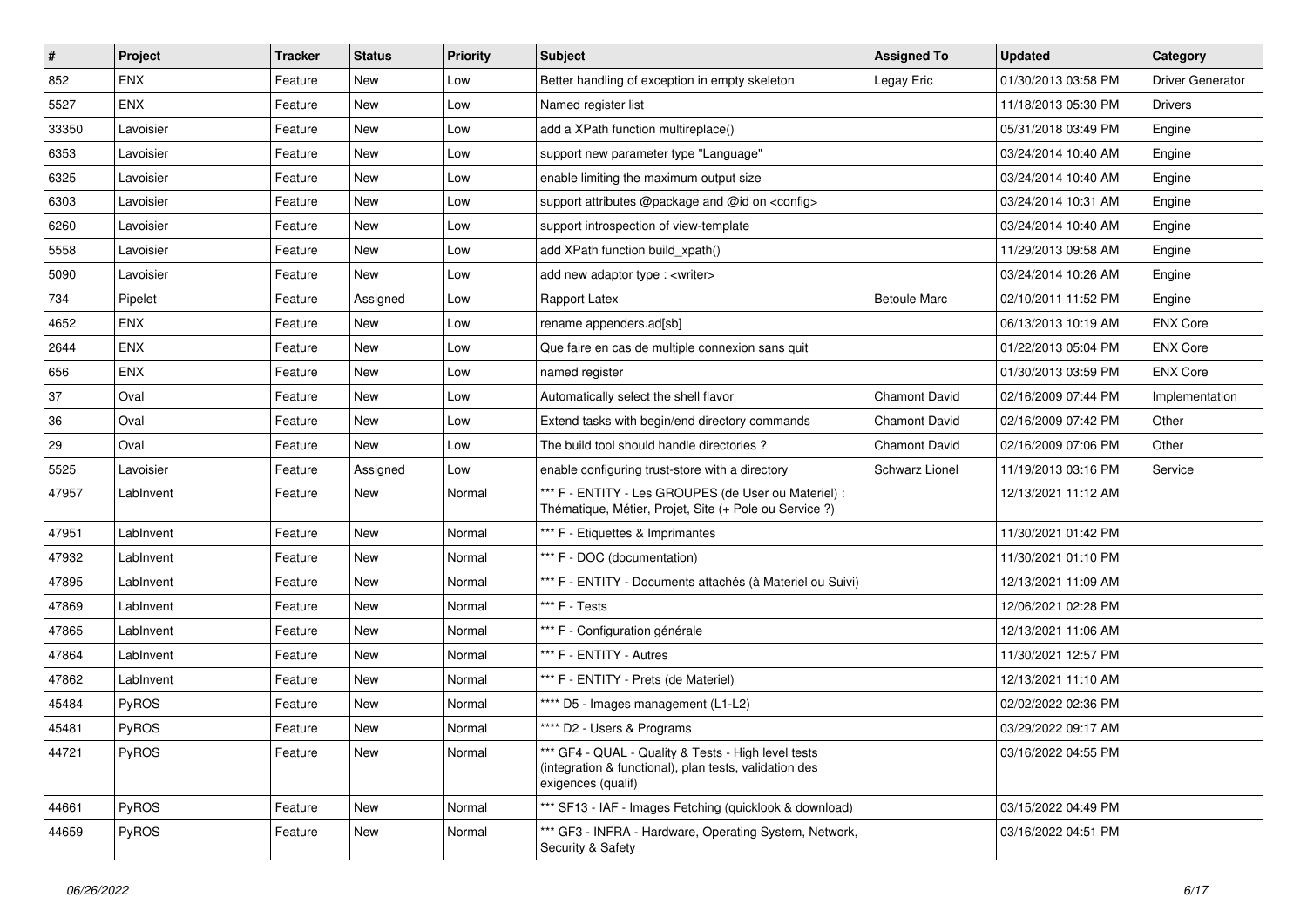| $\vert$ # | Project    | <b>Tracker</b> | <b>Status</b> | <b>Priority</b> | Subject                                                                                                                             | <b>Assigned To</b>   | Updated             | Category                |
|-----------|------------|----------------|---------------|-----------------|-------------------------------------------------------------------------------------------------------------------------------------|----------------------|---------------------|-------------------------|
| 852       | <b>ENX</b> | Feature        | New           | Low             | Better handling of exception in empty skeleton                                                                                      | Legay Eric           | 01/30/2013 03:58 PM | <b>Driver Generator</b> |
| 5527      | <b>ENX</b> | Feature        | New           | Low             | Named register list                                                                                                                 |                      | 11/18/2013 05:30 PM | <b>Drivers</b>          |
| 33350     | Lavoisier  | Feature        | New           | Low             | add a XPath function multireplace()                                                                                                 |                      | 05/31/2018 03:49 PM | Engine                  |
| 6353      | Lavoisier  | Feature        | New           | Low             | support new parameter type "Language"                                                                                               |                      | 03/24/2014 10:40 AM | Engine                  |
| 6325      | Lavoisier  | Feature        | New           | Low             | enable limiting the maximum output size                                                                                             |                      | 03/24/2014 10:40 AM | Engine                  |
| 6303      | Lavoisier  | Feature        | New           | Low             | support attributes @package and @id on <config></config>                                                                            |                      | 03/24/2014 10:31 AM | Engine                  |
| 6260      | Lavoisier  | Feature        | New           | Low             | support introspection of view-template                                                                                              |                      | 03/24/2014 10:40 AM | Engine                  |
| 5558      | Lavoisier  | Feature        | New           | Low             | add XPath function build_xpath()                                                                                                    |                      | 11/29/2013 09:58 AM | Engine                  |
| 5090      | Lavoisier  | Feature        | New           | Low             | add new adaptor type : <writer></writer>                                                                                            |                      | 03/24/2014 10:26 AM | Engine                  |
| 734       | Pipelet    | Feature        | Assigned      | Low             | Rapport Latex                                                                                                                       | <b>Betoule Marc</b>  | 02/10/2011 11:52 PM | Engine                  |
| 4652      | <b>ENX</b> | Feature        | New           | Low             | rename appenders.ad[sb]                                                                                                             |                      | 06/13/2013 10:19 AM | <b>ENX Core</b>         |
| 2644      | <b>ENX</b> | Feature        | New           | Low             | Que faire en cas de multiple connexion sans quit                                                                                    |                      | 01/22/2013 05:04 PM | <b>ENX Core</b>         |
| 656       | <b>ENX</b> | Feature        | New           | Low             | named register                                                                                                                      |                      | 01/30/2013 03:59 PM | <b>ENX Core</b>         |
| 37        | Oval       | Feature        | New           | Low             | Automatically select the shell flavor                                                                                               | Chamont David        | 02/16/2009 07:44 PM | Implementation          |
| 36        | Oval       | Feature        | New           | Low             | Extend tasks with begin/end directory commands                                                                                      | <b>Chamont David</b> | 02/16/2009 07:42 PM | Other                   |
| 29        | Oval       | Feature        | New           | Low             | The build tool should handle directories?                                                                                           | Chamont David        | 02/16/2009 07:06 PM | Other                   |
| 5525      | Lavoisier  | Feature        | Assigned      | Low             | enable configuring trust-store with a directory                                                                                     | Schwarz Lionel       | 11/19/2013 03:16 PM | Service                 |
| 47957     | LabInvent  | Feature        | New           | Normal          | *** F - ENTITY - Les GROUPES (de User ou Materiel) :<br>Thématique, Métier, Projet, Site (+ Pole ou Service ?)                      |                      | 12/13/2021 11:12 AM |                         |
| 47951     | LabInvent  | Feature        | <b>New</b>    | Normal          | *** F - Etiquettes & Imprimantes                                                                                                    |                      | 11/30/2021 01:42 PM |                         |
| 47932     | LabInvent  | Feature        | New           | Normal          | *** F - DOC (documentation)                                                                                                         |                      | 11/30/2021 01:10 PM |                         |
| 47895     | LabInvent  | Feature        | New           | Normal          | *** F - ENTITY - Documents attachés (à Materiel ou Suivi)                                                                           |                      | 12/13/2021 11:09 AM |                         |
| 47869     | LabInvent  | Feature        | New           | Normal          | *** F - Tests                                                                                                                       |                      | 12/06/2021 02:28 PM |                         |
| 47865     | LabInvent  | Feature        | New           | Normal          | *** F - Configuration générale                                                                                                      |                      | 12/13/2021 11:06 AM |                         |
| 47864     | LabInvent  | Feature        | New           | Normal          | *** F - ENTITY - Autres                                                                                                             |                      | 11/30/2021 12:57 PM |                         |
| 47862     | LabInvent  | Feature        | New           | Normal          | *** F - ENTITY - Prets (de Materiel)                                                                                                |                      | 12/13/2021 11:10 AM |                         |
| 45484     | PyROS      | Feature        | New           | Normal          | **** D5 - Images management (L1-L2)                                                                                                 |                      | 02/02/2022 02:36 PM |                         |
| 45481     | PyROS      | Feature        | New           | Normal          | **** D2 - Users & Programs                                                                                                          |                      | 03/29/2022 09:17 AM |                         |
| 44721     | PyROS      | Feature        | New           | Normal          | *** GF4 - QUAL - Quality & Tests - High level tests<br>(integration & functional), plan tests, validation des<br>exigences (qualif) |                      | 03/16/2022 04:55 PM |                         |
| 44661     | PyROS      | Feature        | New           | Normal          | *** SF13 - IAF - Images Fetching (quicklook & download)                                                                             |                      | 03/15/2022 04:49 PM |                         |
| 44659     | PyROS      | Feature        | New           | Normal          | *** GF3 - INFRA - Hardware, Operating System, Network,<br>Security & Safety                                                         |                      | 03/16/2022 04:51 PM |                         |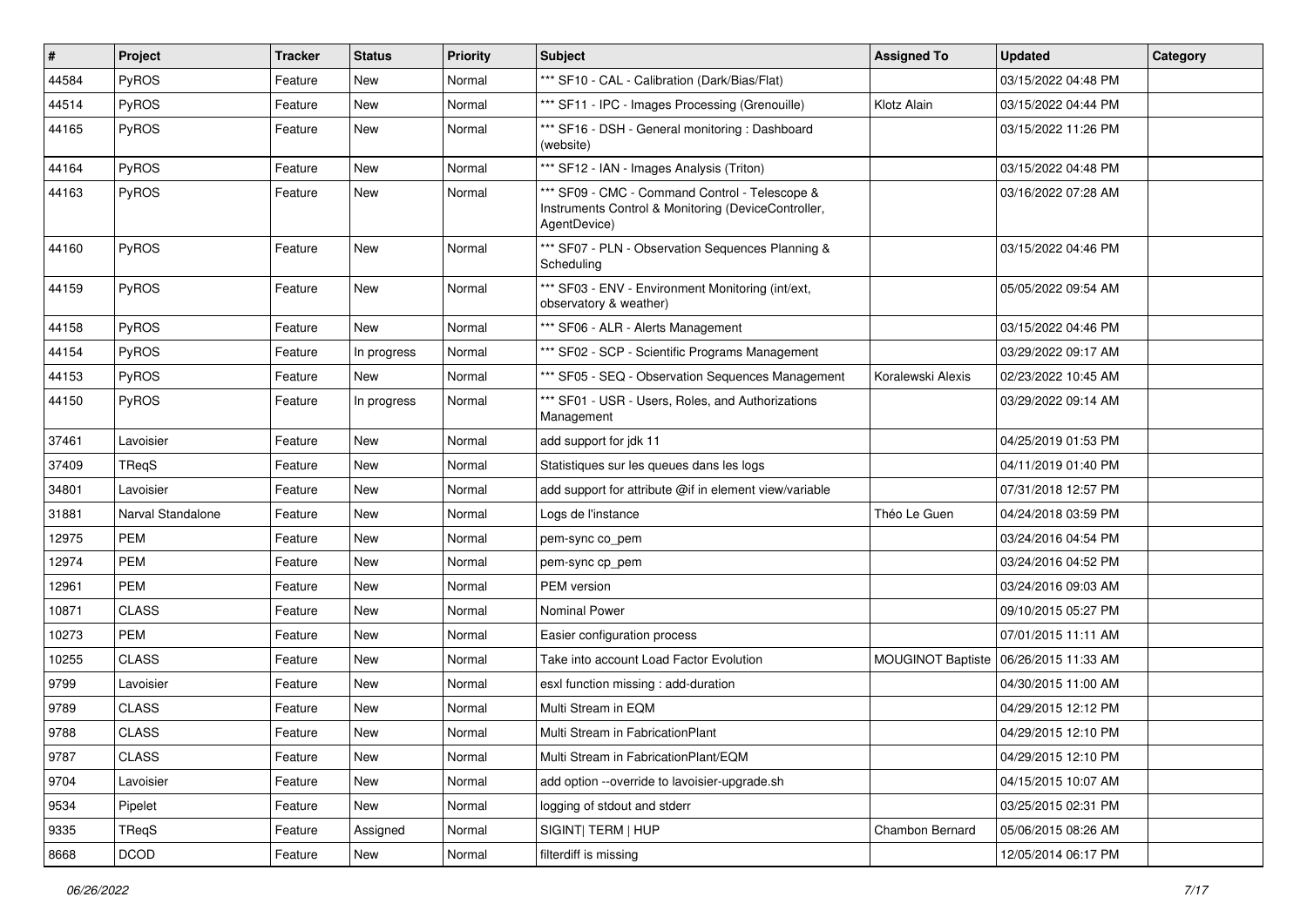| $\sharp$ | Project           | <b>Tracker</b> | <b>Status</b> | <b>Priority</b> | Subject                                                                                                               | <b>Assigned To</b>       | <b>Updated</b>      | Category |
|----------|-------------------|----------------|---------------|-----------------|-----------------------------------------------------------------------------------------------------------------------|--------------------------|---------------------|----------|
| 44584    | PyROS             | Feature        | New           | Normal          | *** SF10 - CAL - Calibration (Dark/Bias/Flat)                                                                         |                          | 03/15/2022 04:48 PM |          |
| 44514    | PyROS             | Feature        | <b>New</b>    | Normal          | *** SF11 - IPC - Images Processing (Grenouille)                                                                       | Klotz Alain              | 03/15/2022 04:44 PM |          |
| 44165    | PyROS             | Feature        | New           | Normal          | *** SF16 - DSH - General monitoring: Dashboard<br>(website)                                                           |                          | 03/15/2022 11:26 PM |          |
| 44164    | PyROS             | Feature        | <b>New</b>    | Normal          | *** SF12 - IAN - Images Analysis (Triton)                                                                             |                          | 03/15/2022 04:48 PM |          |
| 44163    | PyROS             | Feature        | New           | Normal          | *** SF09 - CMC - Command Control - Telescope &<br>Instruments Control & Monitoring (DeviceController,<br>AgentDevice) |                          | 03/16/2022 07:28 AM |          |
| 44160    | PyROS             | Feature        | <b>New</b>    | Normal          | *** SF07 - PLN - Observation Sequences Planning &<br>Scheduling                                                       |                          | 03/15/2022 04:46 PM |          |
| 44159    | PyROS             | Feature        | New           | Normal          | *** SF03 - ENV - Environment Monitoring (int/ext,<br>observatory & weather)                                           |                          | 05/05/2022 09:54 AM |          |
| 44158    | PyROS             | Feature        | <b>New</b>    | Normal          | *** SF06 - ALR - Alerts Management                                                                                    |                          | 03/15/2022 04:46 PM |          |
| 44154    | PyROS             | Feature        | In progress   | Normal          | *** SF02 - SCP - Scientific Programs Management                                                                       |                          | 03/29/2022 09:17 AM |          |
| 44153    | PyROS             | Feature        | New           | Normal          | *** SF05 - SEQ - Observation Sequences Management                                                                     | Koralewski Alexis        | 02/23/2022 10:45 AM |          |
| 44150    | PyROS             | Feature        | In progress   | Normal          | *** SF01 - USR - Users, Roles, and Authorizations<br>Management                                                       |                          | 03/29/2022 09:14 AM |          |
| 37461    | Lavoisier         | Feature        | <b>New</b>    | Normal          | add support for jdk 11                                                                                                |                          | 04/25/2019 01:53 PM |          |
| 37409    | TReqS             | Feature        | New           | Normal          | Statistiques sur les queues dans les logs                                                                             |                          | 04/11/2019 01:40 PM |          |
| 34801    | Lavoisier         | Feature        | New           | Normal          | add support for attribute @if in element view/variable                                                                |                          | 07/31/2018 12:57 PM |          |
| 31881    | Narval Standalone | Feature        | New           | Normal          | Logs de l'instance                                                                                                    | Théo Le Guen             | 04/24/2018 03:59 PM |          |
| 12975    | <b>PEM</b>        | Feature        | New           | Normal          | pem-sync co_pem                                                                                                       |                          | 03/24/2016 04:54 PM |          |
| 12974    | PEM               | Feature        | New           | Normal          | pem-sync cp_pem                                                                                                       |                          | 03/24/2016 04:52 PM |          |
| 12961    | PEM               | Feature        | New           | Normal          | PEM version                                                                                                           |                          | 03/24/2016 09:03 AM |          |
| 10871    | <b>CLASS</b>      | Feature        | New           | Normal          | <b>Nominal Power</b>                                                                                                  |                          | 09/10/2015 05:27 PM |          |
| 10273    | PEM               | Feature        | New           | Normal          | Easier configuration process                                                                                          |                          | 07/01/2015 11:11 AM |          |
| 10255    | <b>CLASS</b>      | Feature        | New           | Normal          | Take into account Load Factor Evolution                                                                               | <b>MOUGINOT Baptiste</b> | 06/26/2015 11:33 AM |          |
| 9799     | Lavoisier         | Feature        | New           | Normal          | esxl function missing : add-duration                                                                                  |                          | 04/30/2015 11:00 AM |          |
| 9789     | <b>CLASS</b>      | Feature        | <b>New</b>    | Normal          | Multi Stream in EQM                                                                                                   |                          | 04/29/2015 12:12 PM |          |
| 9788     | <b>CLASS</b>      | Feature        | New           | Normal          | Multi Stream in FabricationPlant                                                                                      |                          | 04/29/2015 12:10 PM |          |
| 9787     | <b>CLASS</b>      | Feature        | New           | Normal          | Multi Stream in FabricationPlant/EQM                                                                                  |                          | 04/29/2015 12:10 PM |          |
| 9704     | Lavoisier         | Feature        | New           | Normal          | add option --override to lavoisier-upgrade.sh                                                                         |                          | 04/15/2015 10:07 AM |          |
| 9534     | Pipelet           | Feature        | New           | Normal          | logging of stdout and stderr                                                                                          |                          | 03/25/2015 02:31 PM |          |
| 9335     | TReqS             | Feature        | Assigned      | Normal          | SIGINT  TERM   HUP                                                                                                    | Chambon Bernard          | 05/06/2015 08:26 AM |          |
| 8668     | DCOD              | Feature        | New           | Normal          | filterdiff is missing                                                                                                 |                          | 12/05/2014 06:17 PM |          |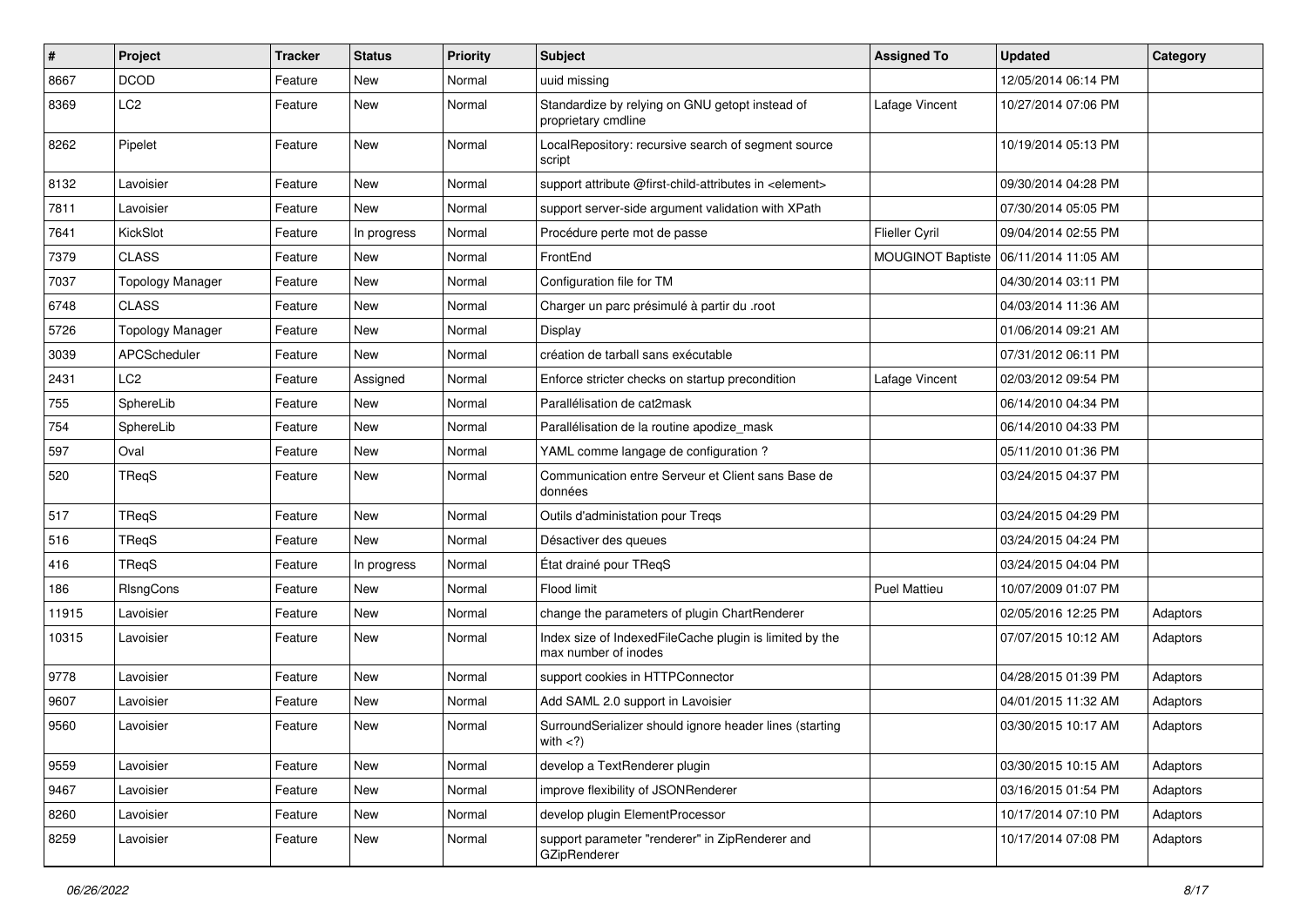| $\pmb{\#}$ | Project                 | <b>Tracker</b> | <b>Status</b> | <b>Priority</b> | Subject                                                                         | <b>Assigned To</b>    | <b>Updated</b>      | Category |
|------------|-------------------------|----------------|---------------|-----------------|---------------------------------------------------------------------------------|-----------------------|---------------------|----------|
| 8667       | <b>DCOD</b>             | Feature        | New           | Normal          | uuid missing                                                                    |                       | 12/05/2014 06:14 PM |          |
| 8369       | LC <sub>2</sub>         | Feature        | New           | Normal          | Standardize by relying on GNU getopt instead of<br>proprietary cmdline          | Lafage Vincent        | 10/27/2014 07:06 PM |          |
| 8262       | Pipelet                 | Feature        | New           | Normal          | LocalRepository: recursive search of segment source<br>script                   |                       | 10/19/2014 05:13 PM |          |
| 8132       | Lavoisier               | Feature        | <b>New</b>    | Normal          | support attribute @first-child-attributes in <element></element>                |                       | 09/30/2014 04:28 PM |          |
| 7811       | Lavoisier               | Feature        | New           | Normal          | support server-side argument validation with XPath                              |                       | 07/30/2014 05:05 PM |          |
| 7641       | KickSlot                | Feature        | In progress   | Normal          | Procédure perte mot de passe                                                    | <b>Flieller Cyril</b> | 09/04/2014 02:55 PM |          |
| 7379       | <b>CLASS</b>            | Feature        | New           | Normal          | FrontEnd                                                                        | MOUGINOT Baptiste     | 06/11/2014 11:05 AM |          |
| 7037       | <b>Topology Manager</b> | Feature        | <b>New</b>    | Normal          | Configuration file for TM                                                       |                       | 04/30/2014 03:11 PM |          |
| 6748       | <b>CLASS</b>            | Feature        | <b>New</b>    | Normal          | Charger un parc présimulé à partir du .root                                     |                       | 04/03/2014 11:36 AM |          |
| 5726       | <b>Topology Manager</b> | Feature        | New           | Normal          | Display                                                                         |                       | 01/06/2014 09:21 AM |          |
| 3039       | APCScheduler            | Feature        | <b>New</b>    | Normal          | création de tarball sans exécutable                                             |                       | 07/31/2012 06:11 PM |          |
| 2431       | LC <sub>2</sub>         | Feature        | Assigned      | Normal          | Enforce stricter checks on startup precondition                                 | Lafage Vincent        | 02/03/2012 09:54 PM |          |
| 755        | SphereLib               | Feature        | <b>New</b>    | Normal          | Parallélisation de cat2mask                                                     |                       | 06/14/2010 04:34 PM |          |
| 754        | SphereLib               | Feature        | New           | Normal          | Parallélisation de la routine apodize mask                                      |                       | 06/14/2010 04:33 PM |          |
| 597        | Oval                    | Feature        | New           | Normal          | YAML comme langage de configuration ?                                           |                       | 05/11/2010 01:36 PM |          |
| 520        | TReqS                   | Feature        | New           | Normal          | Communication entre Serveur et Client sans Base de<br>données                   |                       | 03/24/2015 04:37 PM |          |
| 517        | TReaS                   | Feature        | <b>New</b>    | Normal          | Outils d'administation pour Treqs                                               |                       | 03/24/2015 04:29 PM |          |
| 516        | TReaS                   | Feature        | New           | Normal          | Désactiver des queues                                                           |                       | 03/24/2015 04:24 PM |          |
| 416        | TReqS                   | Feature        | In progress   | Normal          | État drainé pour TReqS                                                          |                       | 03/24/2015 04:04 PM |          |
| 186        | RIsngCons               | Feature        | <b>New</b>    | Normal          | Flood limit                                                                     | <b>Puel Mattieu</b>   | 10/07/2009 01:07 PM |          |
| 11915      | Lavoisier               | Feature        | <b>New</b>    | Normal          | change the parameters of plugin ChartRenderer                                   |                       | 02/05/2016 12:25 PM | Adaptors |
| 10315      | Lavoisier               | Feature        | New           | Normal          | Index size of IndexedFileCache plugin is limited by the<br>max number of inodes |                       | 07/07/2015 10:12 AM | Adaptors |
| 9778       | Lavoisier               | Feature        | <b>New</b>    | Normal          | support cookies in HTTPConnector                                                |                       | 04/28/2015 01:39 PM | Adaptors |
| 9607       | Lavoisier               | Feature        | New           | Normal          | Add SAML 2.0 support in Lavoisier                                               |                       | 04/01/2015 11:32 AM | Adaptors |
| 9560       | Lavoisier               | Feature        | New           | Normal          | SurroundSerializer should ignore header lines (starting<br>with $\langle$ ?)    |                       | 03/30/2015 10:17 AM | Adaptors |
| 9559       | Lavoisier               | Feature        | <b>New</b>    | Normal          | develop a TextRenderer plugin                                                   |                       | 03/30/2015 10:15 AM | Adaptors |
| 9467       | Lavoisier               | Feature        | New           | Normal          | improve flexibility of JSONRenderer                                             |                       | 03/16/2015 01:54 PM | Adaptors |
| 8260       | Lavoisier               | Feature        | New           | Normal          | develop plugin ElementProcessor                                                 |                       | 10/17/2014 07:10 PM | Adaptors |
| 8259       | Lavoisier               | Feature        | New           | Normal          | support parameter "renderer" in ZipRenderer and<br>GZipRenderer                 |                       | 10/17/2014 07:08 PM | Adaptors |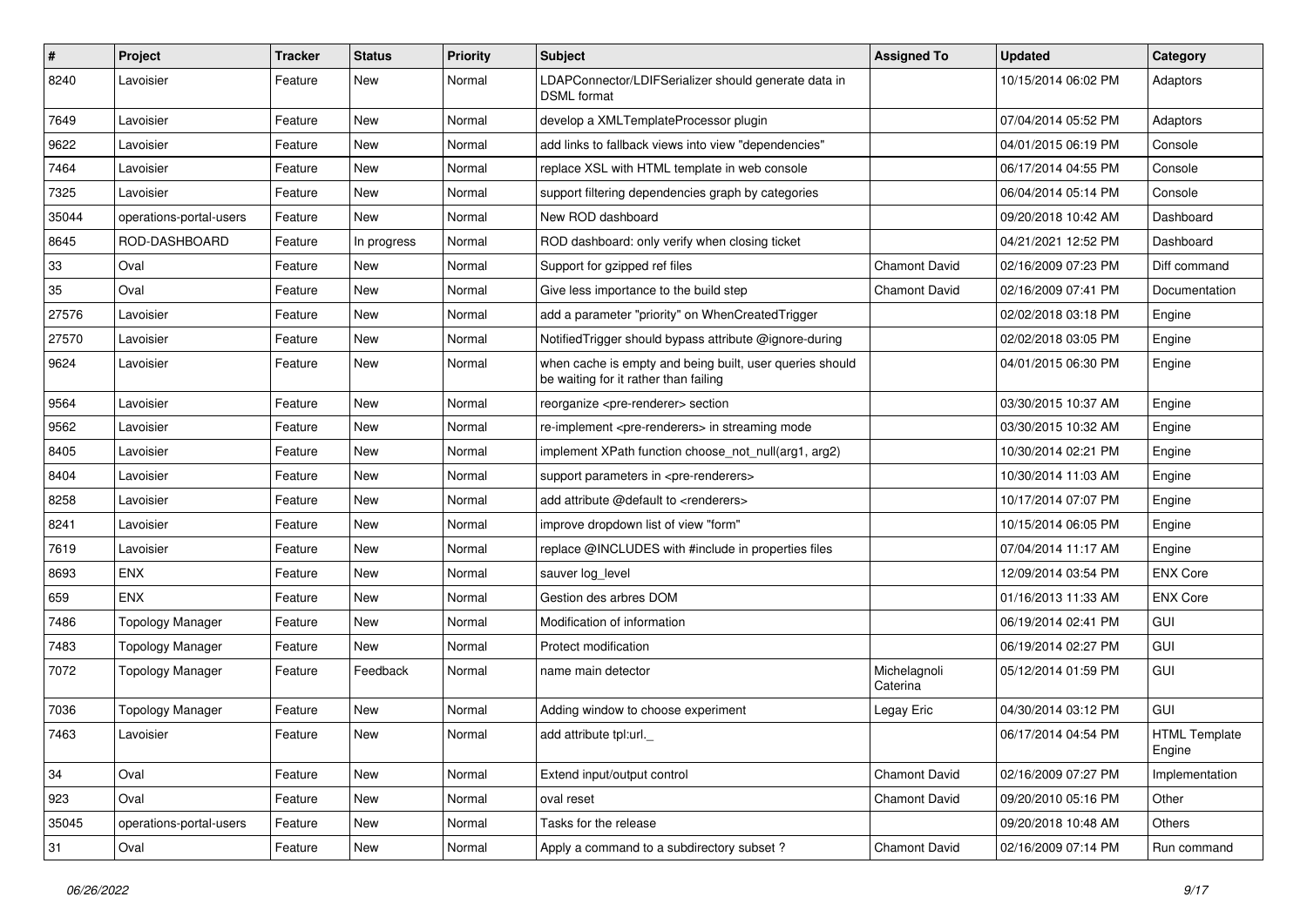| $\pmb{\#}$ | Project                 | <b>Tracker</b> | <b>Status</b> | <b>Priority</b> | <b>Subject</b>                                                                                    | <b>Assigned To</b>       | <b>Updated</b>      | Category                       |
|------------|-------------------------|----------------|---------------|-----------------|---------------------------------------------------------------------------------------------------|--------------------------|---------------------|--------------------------------|
| 8240       | Lavoisier               | Feature        | New           | Normal          | LDAPConnector/LDIFSerializer should generate data in<br><b>DSML</b> format                        |                          | 10/15/2014 06:02 PM | Adaptors                       |
| 7649       | Lavoisier               | Feature        | New           | Normal          | develop a XMLTemplateProcessor plugin                                                             |                          | 07/04/2014 05:52 PM | Adaptors                       |
| 9622       | Lavoisier               | Feature        | New           | Normal          | add links to fallback views into view "dependencies"                                              |                          | 04/01/2015 06:19 PM | Console                        |
| 7464       | Lavoisier               | Feature        | New           | Normal          | replace XSL with HTML template in web console                                                     |                          | 06/17/2014 04:55 PM | Console                        |
| 7325       | Lavoisier               | Feature        | New           | Normal          | support filtering dependencies graph by categories                                                |                          | 06/04/2014 05:14 PM | Console                        |
| 35044      | operations-portal-users | Feature        | New           | Normal          | New ROD dashboard                                                                                 |                          | 09/20/2018 10:42 AM | Dashboard                      |
| 8645       | ROD-DASHBOARD           | Feature        | In progress   | Normal          | ROD dashboard: only verify when closing ticket                                                    |                          | 04/21/2021 12:52 PM | Dashboard                      |
| 33         | Oval                    | Feature        | New           | Normal          | Support for gzipped ref files                                                                     | Chamont David            | 02/16/2009 07:23 PM | Diff command                   |
| 35         | Oval                    | Feature        | New           | Normal          | Give less importance to the build step                                                            | Chamont David            | 02/16/2009 07:41 PM | Documentation                  |
| 27576      | Lavoisier               | Feature        | New           | Normal          | add a parameter "priority" on WhenCreatedTrigger                                                  |                          | 02/02/2018 03:18 PM | Engine                         |
| 27570      | Lavoisier               | Feature        | New           | Normal          | NotifiedTrigger should bypass attribute @ignore-during                                            |                          | 02/02/2018 03:05 PM | Engine                         |
| 9624       | Lavoisier               | Feature        | New           | Normal          | when cache is empty and being built, user queries should<br>be waiting for it rather than failing |                          | 04/01/2015 06:30 PM | Engine                         |
| 9564       | Lavoisier               | Feature        | New           | Normal          | reorganize <pre-renderer> section</pre-renderer>                                                  |                          | 03/30/2015 10:37 AM | Engine                         |
| 9562       | Lavoisier               | Feature        | New           | Normal          | re-implement <pre-renderers> in streaming mode</pre-renderers>                                    |                          | 03/30/2015 10:32 AM | Engine                         |
| 8405       | Lavoisier               | Feature        | New           | Normal          | implement XPath function choose not null(arg1, arg2)                                              |                          | 10/30/2014 02:21 PM | Engine                         |
| 8404       | Lavoisier               | Feature        | New           | Normal          | support parameters in <pre-renderers></pre-renderers>                                             |                          | 10/30/2014 11:03 AM | Engine                         |
| 8258       | Lavoisier               | Feature        | New           | Normal          | add attribute @default to <renderers></renderers>                                                 |                          | 10/17/2014 07:07 PM | Engine                         |
| 8241       | Lavoisier               | Feature        | New           | Normal          | improve dropdown list of view "form"                                                              |                          | 10/15/2014 06:05 PM | Engine                         |
| 7619       | Lavoisier               | Feature        | New           | Normal          | replace @INCLUDES with #include in properties files                                               |                          | 07/04/2014 11:17 AM | Engine                         |
| 8693       | <b>ENX</b>              | Feature        | New           | Normal          | sauver log_level                                                                                  |                          | 12/09/2014 03:54 PM | <b>ENX Core</b>                |
| 659        | <b>ENX</b>              | Feature        | New           | Normal          | Gestion des arbres DOM                                                                            |                          | 01/16/2013 11:33 AM | <b>ENX Core</b>                |
| 7486       | <b>Topology Manager</b> | Feature        | New           | Normal          | Modification of information                                                                       |                          | 06/19/2014 02:41 PM | GUI                            |
| 7483       | <b>Topology Manager</b> | Feature        | New           | Normal          | Protect modification                                                                              |                          | 06/19/2014 02:27 PM | GUI                            |
| 7072       | <b>Topology Manager</b> | Feature        | Feedback      | Normal          | name main detector                                                                                | Michelagnoli<br>Caterina | 05/12/2014 01:59 PM | GUI                            |
| 7036       | <b>Topology Manager</b> | Feature        | New           | Normal          | Adding window to choose experiment                                                                | Legay Eric               | 04/30/2014 03:12 PM | GUI                            |
| 7463       | Lavoisier               | Feature        | New           | Normal          | add attribute tpl:url.                                                                            |                          | 06/17/2014 04:54 PM | <b>HTML Template</b><br>Engine |
| 34         | Oval                    | Feature        | New           | Normal          | Extend input/output control                                                                       | Chamont David            | 02/16/2009 07:27 PM | Implementation                 |
| 923        | Oval                    | Feature        | New           | Normal          | oval reset                                                                                        | Chamont David            | 09/20/2010 05:16 PM | Other                          |
| 35045      | operations-portal-users | Feature        | New           | Normal          | Tasks for the release                                                                             |                          | 09/20/2018 10:48 AM | Others                         |
| 31         | Oval                    | Feature        | New           | Normal          | Apply a command to a subdirectory subset?                                                         | Chamont David            | 02/16/2009 07:14 PM | Run command                    |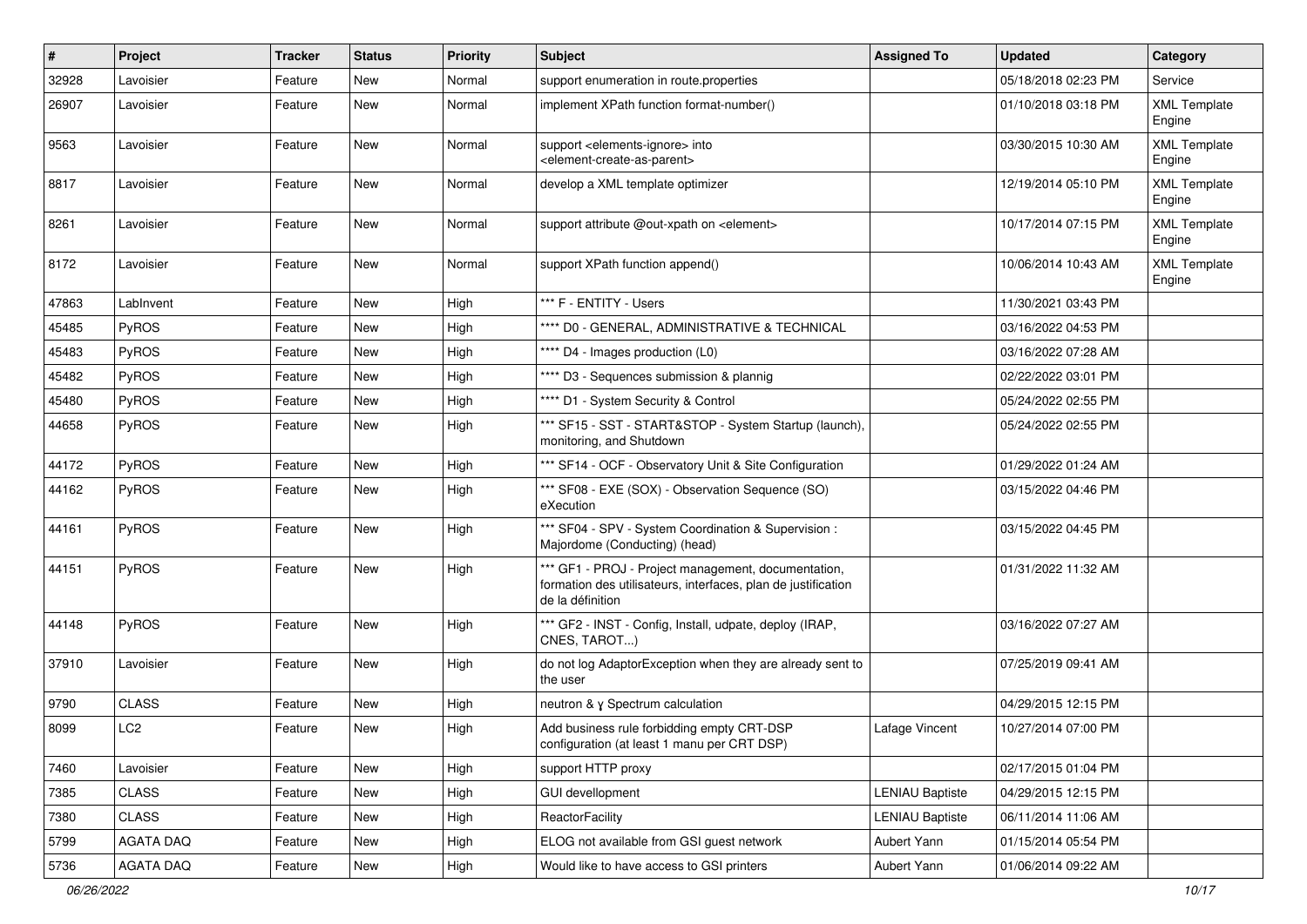| $\sharp$ | Project      | <b>Tracker</b> | <b>Status</b> | <b>Priority</b> | <b>Subject</b>                                                                                                                           | <b>Assigned To</b>     | <b>Updated</b>      | Category                      |
|----------|--------------|----------------|---------------|-----------------|------------------------------------------------------------------------------------------------------------------------------------------|------------------------|---------------------|-------------------------------|
| 32928    | Lavoisier    | Feature        | New           | Normal          | support enumeration in route properties                                                                                                  |                        | 05/18/2018 02:23 PM | Service                       |
| 26907    | Lavoisier    | Feature        | <b>New</b>    | Normal          | implement XPath function format-number()                                                                                                 |                        | 01/10/2018 03:18 PM | <b>XML Template</b><br>Engine |
| 9563     | Lavoisier    | Feature        | New           | Normal          | support <elements-ignore> into<br/><element-create-as-parent></element-create-as-parent></elements-ignore>                               |                        | 03/30/2015 10:30 AM | <b>XML Template</b><br>Engine |
| 8817     | Lavoisier    | Feature        | <b>New</b>    | Normal          | develop a XML template optimizer                                                                                                         |                        | 12/19/2014 05:10 PM | <b>XML Template</b><br>Engine |
| 8261     | Lavoisier    | Feature        | New           | Normal          | support attribute @out-xpath on <element></element>                                                                                      |                        | 10/17/2014 07:15 PM | <b>XML Template</b><br>Engine |
| 8172     | Lavoisier    | Feature        | New           | Normal          | support XPath function append()                                                                                                          |                        | 10/06/2014 10:43 AM | <b>XML Template</b><br>Engine |
| 47863    | LabInvent    | Feature        | New           | High            | *** F - ENTITY - Users                                                                                                                   |                        | 11/30/2021 03:43 PM |                               |
| 45485    | <b>PyROS</b> | Feature        | <b>New</b>    | High            | **** D0 - GENERAL, ADMINISTRATIVE & TECHNICAL                                                                                            |                        | 03/16/2022 04:53 PM |                               |
| 45483    | <b>PyROS</b> | Feature        | New           | High            | **** D4 - Images production (L0)                                                                                                         |                        | 03/16/2022 07:28 AM |                               |
| 45482    | PyROS        | Feature        | New           | High            | **** D3 - Sequences submission & plannig                                                                                                 |                        | 02/22/2022 03:01 PM |                               |
| 45480    | PyROS        | Feature        | New           | High            | **** D1 - System Security & Control                                                                                                      |                        | 05/24/2022 02:55 PM |                               |
| 44658    | PyROS        | Feature        | New           | High            | *** SF15 - SST - START&STOP - System Startup (launch),<br>monitoring, and Shutdown                                                       |                        | 05/24/2022 02:55 PM |                               |
| 44172    | PyROS        | Feature        | New           | High            | *** SF14 - OCF - Observatory Unit & Site Configuration                                                                                   |                        | 01/29/2022 01:24 AM |                               |
| 44162    | <b>PyROS</b> | Feature        | New           | High            | *** SF08 - EXE (SOX) - Observation Sequence (SO)<br>eXecution                                                                            |                        | 03/15/2022 04:46 PM |                               |
| 44161    | PyROS        | Feature        | <b>New</b>    | High            | *** SF04 - SPV - System Coordination & Supervision :<br>Majordome (Conducting) (head)                                                    |                        | 03/15/2022 04:45 PM |                               |
| 44151    | PyROS        | Feature        | <b>New</b>    | High            | *** GF1 - PROJ - Project management, documentation,<br>formation des utilisateurs, interfaces, plan de justification<br>de la définition |                        | 01/31/2022 11:32 AM |                               |
| 44148    | PyROS        | Feature        | New           | High            | *** GF2 - INST - Config, Install, udpate, deploy (IRAP,<br>CNES, TAROT)                                                                  |                        | 03/16/2022 07:27 AM |                               |
| 37910    | Lavoisier    | Feature        | New           | High            | do not log AdaptorException when they are already sent to<br>the user                                                                    |                        | 07/25/2019 09:41 AM |                               |
| 9790     | <b>CLASS</b> | Feature        | New           | High            | neutron & y Spectrum calculation                                                                                                         |                        | 04/29/2015 12:15 PM |                               |
| 8099     | LC2          | Feature        | New           | High            | Add business rule forbidding empty CRT-DSP<br>configuration (at least 1 manu per CRT DSP)                                                | Lafage Vincent         | 10/27/2014 07:00 PM |                               |
| 7460     | Lavoisier    | Feature        | New           | High            | support HTTP proxy                                                                                                                       |                        | 02/17/2015 01:04 PM |                               |
| 7385     | <b>CLASS</b> | Feature        | New           | High            | GUI devellopment                                                                                                                         | <b>LENIAU Baptiste</b> | 04/29/2015 12:15 PM |                               |
| 7380     | <b>CLASS</b> | Feature        | New           | High            | ReactorFacility                                                                                                                          | <b>LENIAU Baptiste</b> | 06/11/2014 11:06 AM |                               |
| 5799     | AGATA DAQ    | Feature        | New           | High            | ELOG not available from GSI guest network                                                                                                | Aubert Yann            | 01/15/2014 05:54 PM |                               |
| 5736     | AGATA DAQ    | Feature        | New           | High            | Would like to have access to GSI printers                                                                                                | Aubert Yann            | 01/06/2014 09:22 AM |                               |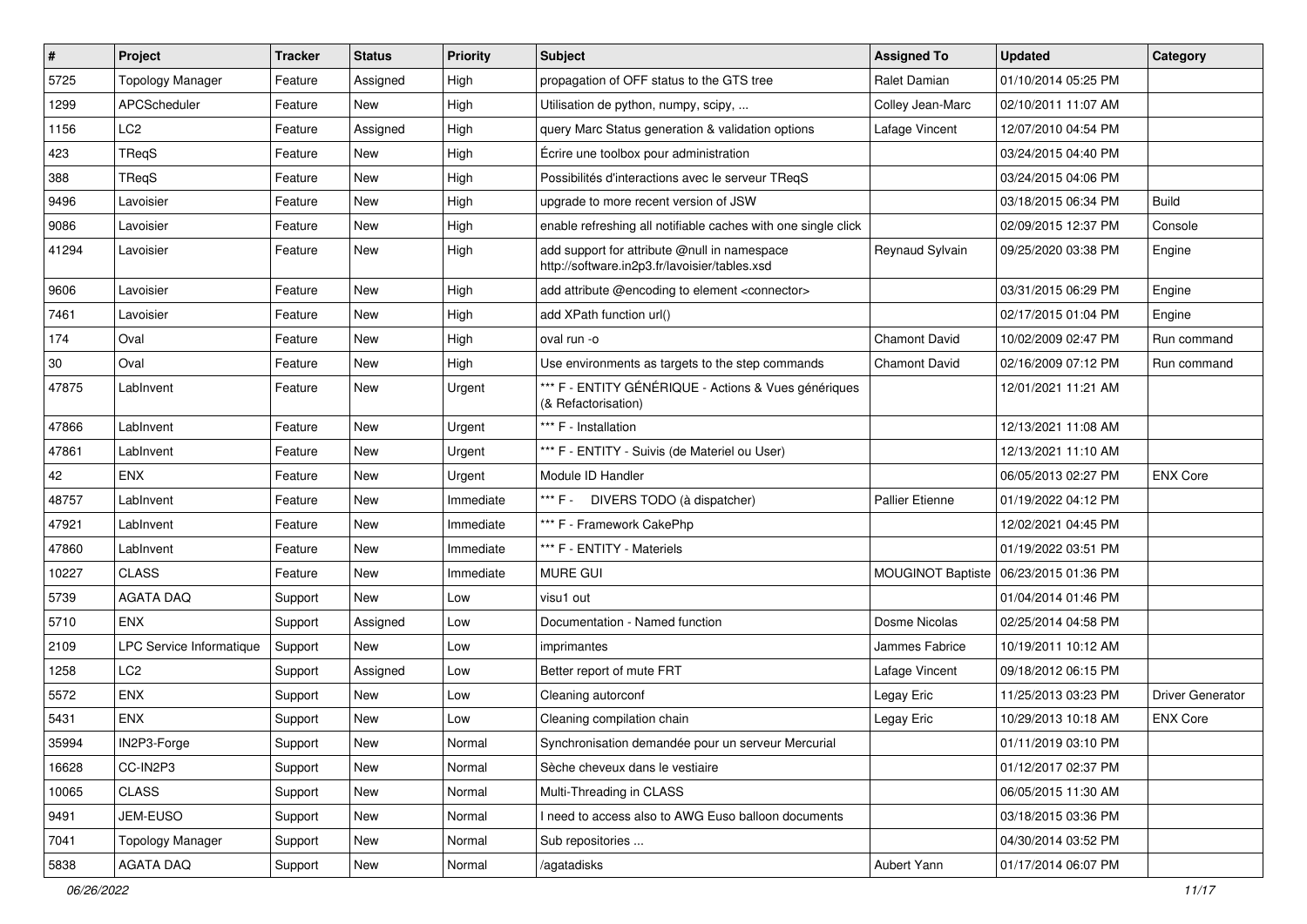| $\sharp$ | Project                         | <b>Tracker</b> | <b>Status</b> | <b>Priority</b> | Subject                                                                                       | <b>Assigned To</b>       | <b>Updated</b>      | Category                |
|----------|---------------------------------|----------------|---------------|-----------------|-----------------------------------------------------------------------------------------------|--------------------------|---------------------|-------------------------|
| 5725     | <b>Topology Manager</b>         | Feature        | Assigned      | High            | propagation of OFF status to the GTS tree                                                     | Ralet Damian             | 01/10/2014 05:25 PM |                         |
| 1299     | APCScheduler                    | Feature        | <b>New</b>    | High            | Utilisation de python, numpy, scipy,                                                          | Colley Jean-Marc         | 02/10/2011 11:07 AM |                         |
| 1156     | LC2                             | Feature        | Assigned      | High            | query Marc Status generation & validation options                                             | Lafage Vincent           | 12/07/2010 04:54 PM |                         |
| 423      | TReqS                           | Feature        | New           | High            | Écrire une toolbox pour administration                                                        |                          | 03/24/2015 04:40 PM |                         |
| 388      | TReqS                           | Feature        | New           | High            | Possibilités d'interactions avec le serveur TReqS                                             |                          | 03/24/2015 04:06 PM |                         |
| 9496     | Lavoisier                       | Feature        | New           | High            | upgrade to more recent version of JSW                                                         |                          | 03/18/2015 06:34 PM | <b>Build</b>            |
| 9086     | Lavoisier                       | Feature        | <b>New</b>    | High            | enable refreshing all notifiable caches with one single click                                 |                          | 02/09/2015 12:37 PM | Console                 |
| 41294    | Lavoisier                       | Feature        | New           | High            | add support for attribute @null in namespace<br>http://software.in2p3.fr/lavoisier/tables.xsd | Reynaud Sylvain          | 09/25/2020 03:38 PM | Engine                  |
| 9606     | Lavoisier                       | Feature        | <b>New</b>    | High            | add attribute @encoding to element <connector></connector>                                    |                          | 03/31/2015 06:29 PM | Engine                  |
| 7461     | Lavoisier                       | Feature        | New           | High            | add XPath function url()                                                                      |                          | 02/17/2015 01:04 PM | Engine                  |
| 174      | Oval                            | Feature        | New           | High            | oval run -o                                                                                   | <b>Chamont David</b>     | 10/02/2009 02:47 PM | Run command             |
| 30       | Oval                            | Feature        | New           | High            | Use environments as targets to the step commands                                              | Chamont David            | 02/16/2009 07:12 PM | Run command             |
| 47875    | LabInvent                       | Feature        | New           | Urgent          | *** F - ENTITY GÉNÉRIQUE - Actions & Vues génériques<br>(& Refactorisation)                   |                          | 12/01/2021 11:21 AM |                         |
| 47866    | LabInvent                       | Feature        | New           | Urgent          | *** F - Installation                                                                          |                          | 12/13/2021 11:08 AM |                         |
| 47861    | LabInvent                       | Feature        | New           | Urgent          | *** F - ENTITY - Suivis (de Materiel ou User)                                                 |                          | 12/13/2021 11:10 AM |                         |
| 42       | <b>ENX</b>                      | Feature        | New           | Urgent          | Module ID Handler                                                                             |                          | 06/05/2013 02:27 PM | <b>ENX Core</b>         |
| 48757    | LabInvent                       | Feature        | New           | Immediate       | *** F - .<br>DIVERS TODO (à dispatcher)                                                       | <b>Pallier Etienne</b>   | 01/19/2022 04:12 PM |                         |
| 47921    | LabInvent                       | Feature        | <b>New</b>    | Immediate       | *** F - Framework CakePhp                                                                     |                          | 12/02/2021 04:45 PM |                         |
| 47860    | LabInvent                       | Feature        | New           | Immediate       | *** F - ENTITY - Materiels                                                                    |                          | 01/19/2022 03:51 PM |                         |
| 10227    | <b>CLASS</b>                    | Feature        | New           | Immediate       | <b>MURE GUI</b>                                                                               | <b>MOUGINOT Baptiste</b> | 06/23/2015 01:36 PM |                         |
| 5739     | <b>AGATA DAQ</b>                | Support        | <b>New</b>    | Low             | visu1 out                                                                                     |                          | 01/04/2014 01:46 PM |                         |
| 5710     | <b>ENX</b>                      | Support        | Assigned      | Low             | Documentation - Named function                                                                | Dosme Nicolas            | 02/25/2014 04:58 PM |                         |
| 2109     | <b>LPC Service Informatique</b> | Support        | New           | Low             | imprimantes                                                                                   | Jammes Fabrice           | 10/19/2011 10:12 AM |                         |
| 1258     | LC <sub>2</sub>                 | Support        | Assigned      | Low             | Better report of mute FRT                                                                     | Lafage Vincent           | 09/18/2012 06:15 PM |                         |
| 5572     | ENX                             | Support        | New           | Low             | Cleaning autorconf                                                                            | Legay Eric               | 11/25/2013 03:23 PM | <b>Driver Generator</b> |
| 5431     | ENX                             | Support        | New           | Low             | Cleaning compilation chain                                                                    | Legay Eric               | 10/29/2013 10:18 AM | <b>ENX Core</b>         |
| 35994    | IN2P3-Forge                     | Support        | New           | Normal          | Synchronisation demandée pour un serveur Mercurial                                            |                          | 01/11/2019 03:10 PM |                         |
| 16628    | CC-IN2P3                        | Support        | New           | Normal          | Sèche cheveux dans le vestiaire                                                               |                          | 01/12/2017 02:37 PM |                         |
| 10065    | <b>CLASS</b>                    | Support        | New           | Normal          | Multi-Threading in CLASS                                                                      |                          | 06/05/2015 11:30 AM |                         |
| 9491     | JEM-EUSO                        | Support        | New           | Normal          | I need to access also to AWG Euso balloon documents                                           |                          | 03/18/2015 03:36 PM |                         |
| 7041     | <b>Topology Manager</b>         | Support        | New           | Normal          | Sub repositories                                                                              |                          | 04/30/2014 03:52 PM |                         |
| 5838     | AGATA DAQ                       | Support        | New           | Normal          | /agatadisks                                                                                   | Aubert Yann              | 01/17/2014 06:07 PM |                         |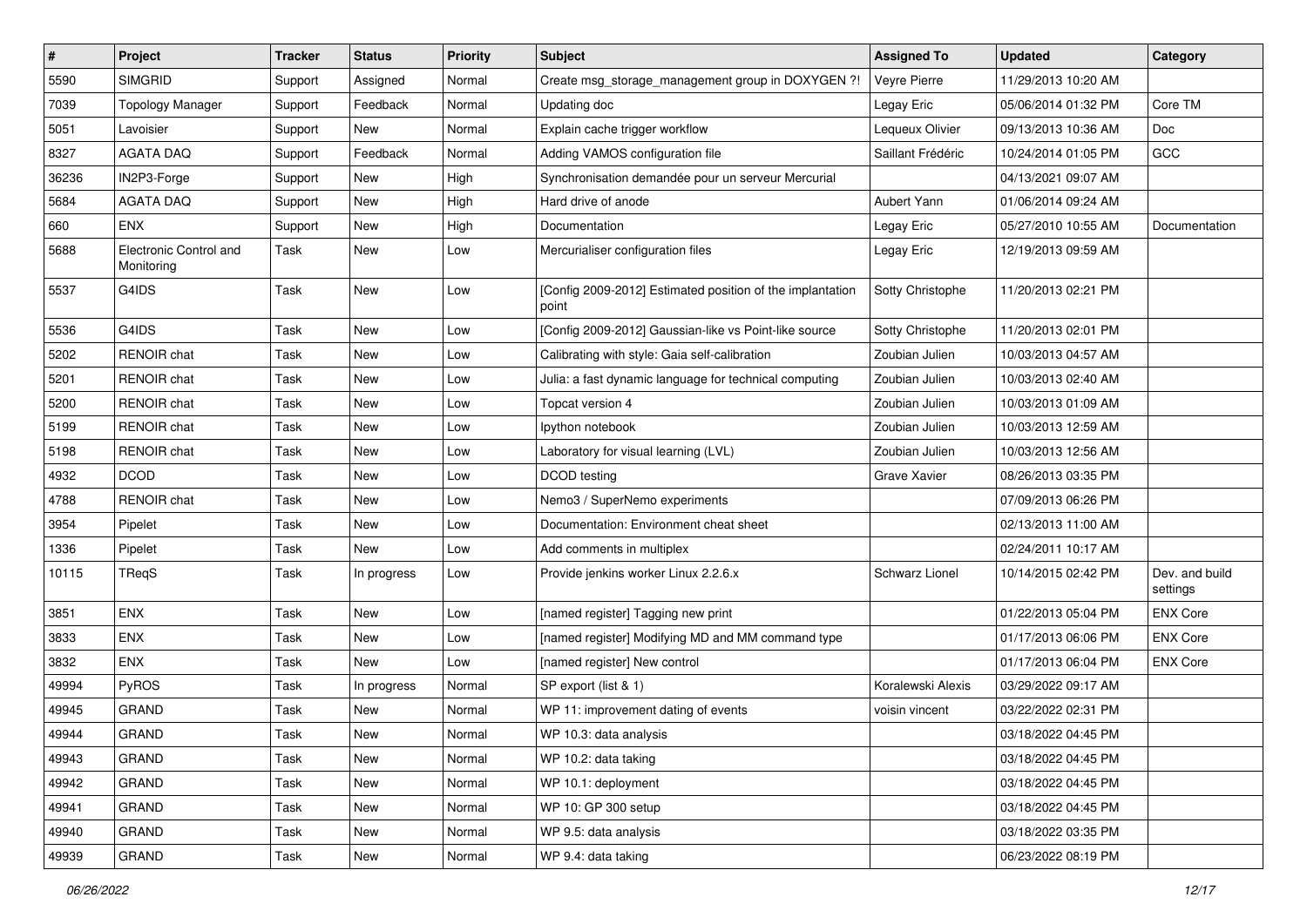| $\vert$ # | Project                              | <b>Tracker</b> | <b>Status</b> | <b>Priority</b> | Subject                                                            | <b>Assigned To</b> | <b>Updated</b>      | Category                   |
|-----------|--------------------------------------|----------------|---------------|-----------------|--------------------------------------------------------------------|--------------------|---------------------|----------------------------|
| 5590      | <b>SIMGRID</b>                       | Support        | Assigned      | Normal          | Create msg_storage_management group in DOXYGEN ?!                  | Veyre Pierre       | 11/29/2013 10:20 AM |                            |
| 7039      | <b>Topology Manager</b>              | Support        | Feedback      | Normal          | Updating doc                                                       | Legay Eric         | 05/06/2014 01:32 PM | Core TM                    |
| 5051      | Lavoisier                            | Support        | New           | Normal          | Explain cache trigger workflow                                     | Lequeux Olivier    | 09/13/2013 10:36 AM | Doc                        |
| 8327      | <b>AGATA DAQ</b>                     | Support        | Feedback      | Normal          | Adding VAMOS configuration file                                    | Saillant Frédéric  | 10/24/2014 01:05 PM | GCC                        |
| 36236     | IN2P3-Forge                          | Support        | New           | High            | Synchronisation demandée pour un serveur Mercurial                 |                    | 04/13/2021 09:07 AM |                            |
| 5684      | <b>AGATA DAQ</b>                     | Support        | New           | High            | Hard drive of anode                                                | Aubert Yann        | 01/06/2014 09:24 AM |                            |
| 660       | <b>ENX</b>                           | Support        | New           | High            | Documentation                                                      | Legay Eric         | 05/27/2010 10:55 AM | Documentation              |
| 5688      | Electronic Control and<br>Monitoring | Task           | New           | Low             | Mercurialiser configuration files                                  | Legay Eric         | 12/19/2013 09:59 AM |                            |
| 5537      | G4IDS                                | Task           | New           | Low             | [Config 2009-2012] Estimated position of the implantation<br>point | Sotty Christophe   | 11/20/2013 02:21 PM |                            |
| 5536      | G4IDS                                | Task           | New           | Low             | [Config 2009-2012] Gaussian-like vs Point-like source              | Sotty Christophe   | 11/20/2013 02:01 PM |                            |
| 5202      | RENOIR chat                          | Task           | New           | Low             | Calibrating with style: Gaia self-calibration                      | Zoubian Julien     | 10/03/2013 04:57 AM |                            |
| 5201      | <b>RENOIR</b> chat                   | Task           | New           | Low             | Julia: a fast dynamic language for technical computing             | Zoubian Julien     | 10/03/2013 02:40 AM |                            |
| 5200      | <b>RENOIR</b> chat                   | Task           | New           | Low             | Topcat version 4                                                   | Zoubian Julien     | 10/03/2013 01:09 AM |                            |
| 5199      | <b>RENOIR</b> chat                   | Task           | New           | Low             | Ipython notebook                                                   | Zoubian Julien     | 10/03/2013 12:59 AM |                            |
| 5198      | <b>RENOIR</b> chat                   | Task           | New           | Low             | Laboratory for visual learning (LVL)                               | Zoubian Julien     | 10/03/2013 12:56 AM |                            |
| 4932      | <b>DCOD</b>                          | Task           | New           | Low             | DCOD testing                                                       | Grave Xavier       | 08/26/2013 03:35 PM |                            |
| 4788      | <b>RENOIR</b> chat                   | Task           | New           | Low             | Nemo3 / SuperNemo experiments                                      |                    | 07/09/2013 06:26 PM |                            |
| 3954      | Pipelet                              | Task           | New           | Low             | Documentation: Environment cheat sheet                             |                    | 02/13/2013 11:00 AM |                            |
| 1336      | Pipelet                              | Task           | <b>New</b>    | Low             | Add comments in multiplex                                          |                    | 02/24/2011 10:17 AM |                            |
| 10115     | <b>TReqS</b>                         | Task           | In progress   | Low             | Provide jenkins worker Linux 2.2.6.x                               | Schwarz Lionel     | 10/14/2015 02:42 PM | Dev. and build<br>settings |
| 3851      | ENX                                  | Task           | New           | Low             | [named register] Tagging new print                                 |                    | 01/22/2013 05:04 PM | <b>ENX Core</b>            |
| 3833      | ENX                                  | Task           | New           | Low             | [named register] Modifying MD and MM command type                  |                    | 01/17/2013 06:06 PM | <b>ENX Core</b>            |
| 3832      | ENX                                  | Task           | New           | Low             | [named register] New control                                       |                    | 01/17/2013 06:04 PM | <b>ENX Core</b>            |
| 49994     | PyROS                                | Task           | In progress   | Normal          | SP export (list & 1)                                               | Koralewski Alexis  | 03/29/2022 09:17 AM |                            |
| 49945     | <b>GRAND</b>                         | Task           | New           | Normal          | WP 11: improvement dating of events                                | voisin vincent     | 03/22/2022 02:31 PM |                            |
| 49944     | GRAND                                | Task           | New           | Normal          | WP 10.3: data analysis                                             |                    | 03/18/2022 04:45 PM |                            |
| 49943     | <b>GRAND</b>                         | Task           | New           | Normal          | WP 10.2: data taking                                               |                    | 03/18/2022 04:45 PM |                            |
| 49942     | <b>GRAND</b>                         | Task           | New           | Normal          | WP 10.1: deployment                                                |                    | 03/18/2022 04:45 PM |                            |
| 49941     | GRAND                                | Task           | New           | Normal          | WP 10: GP 300 setup                                                |                    | 03/18/2022 04:45 PM |                            |
| 49940     | GRAND                                | Task           | New           | Normal          | WP 9.5: data analysis                                              |                    | 03/18/2022 03:35 PM |                            |
| 49939     | GRAND                                | Task           | New           | Normal          | WP 9.4: data taking                                                |                    | 06/23/2022 08:19 PM |                            |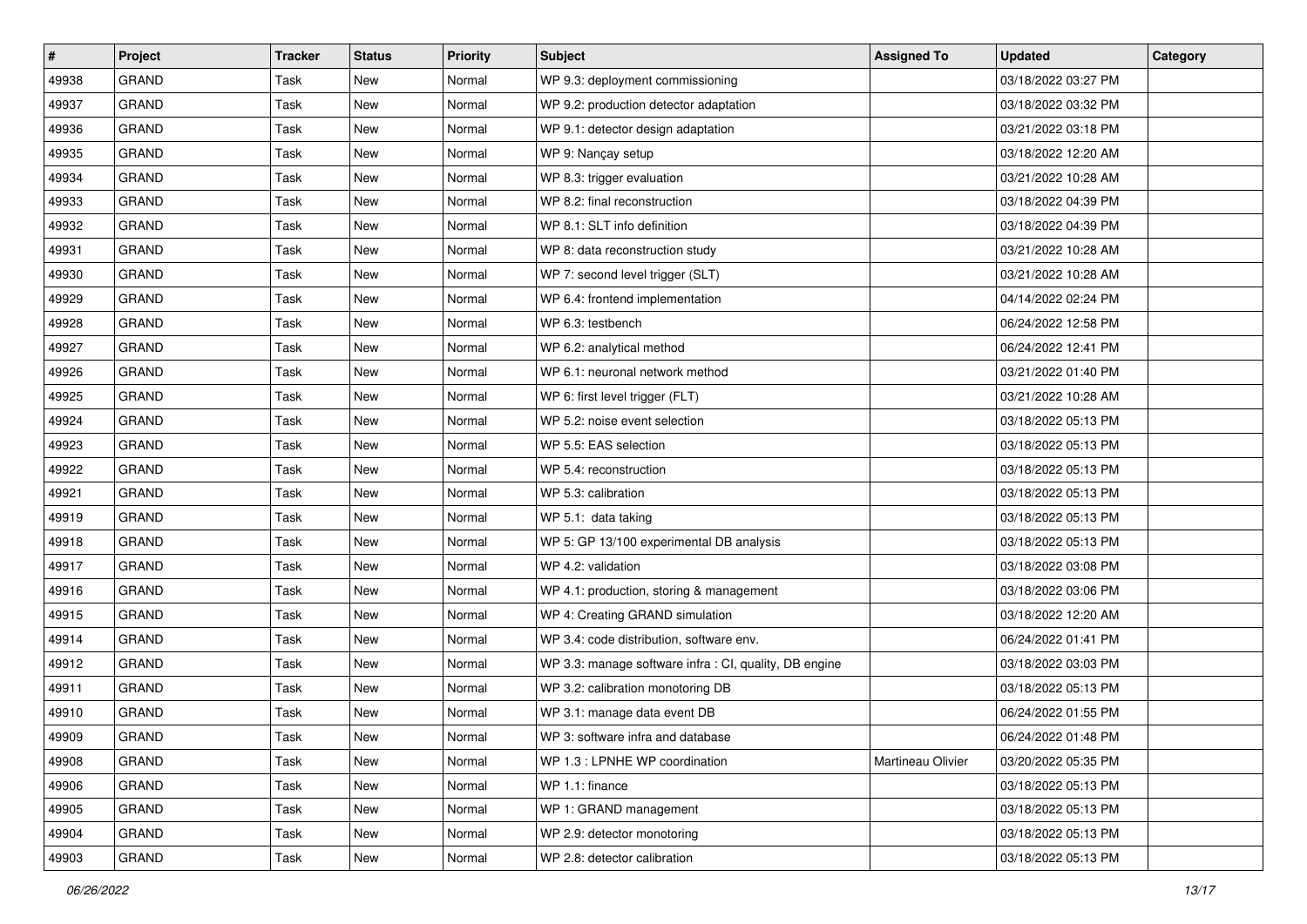| $\vert$ # | Project      | <b>Tracker</b> | <b>Status</b> | <b>Priority</b> | Subject                                                | <b>Assigned To</b> | <b>Updated</b>      | Category |
|-----------|--------------|----------------|---------------|-----------------|--------------------------------------------------------|--------------------|---------------------|----------|
| 49938     | <b>GRAND</b> | Task           | New           | Normal          | WP 9.3: deployment commissioning                       |                    | 03/18/2022 03:27 PM |          |
| 49937     | <b>GRAND</b> | Task           | New           | Normal          | WP 9.2: production detector adaptation                 |                    | 03/18/2022 03:32 PM |          |
| 49936     | GRAND        | Task           | New           | Normal          | WP 9.1: detector design adaptation                     |                    | 03/21/2022 03:18 PM |          |
| 49935     | <b>GRAND</b> | Task           | New           | Normal          | WP 9: Nançay setup                                     |                    | 03/18/2022 12:20 AM |          |
| 49934     | <b>GRAND</b> | Task           | New           | Normal          | WP 8.3: trigger evaluation                             |                    | 03/21/2022 10:28 AM |          |
| 49933     | <b>GRAND</b> | Task           | New           | Normal          | WP 8.2: final reconstruction                           |                    | 03/18/2022 04:39 PM |          |
| 49932     | <b>GRAND</b> | Task           | New           | Normal          | WP 8.1: SLT info definition                            |                    | 03/18/2022 04:39 PM |          |
| 49931     | <b>GRAND</b> | Task           | New           | Normal          | WP 8: data reconstruction study                        |                    | 03/21/2022 10:28 AM |          |
| 49930     | <b>GRAND</b> | Task           | New           | Normal          | WP 7: second level trigger (SLT)                       |                    | 03/21/2022 10:28 AM |          |
| 49929     | <b>GRAND</b> | Task           | New           | Normal          | WP 6.4: frontend implementation                        |                    | 04/14/2022 02:24 PM |          |
| 49928     | <b>GRAND</b> | Task           | New           | Normal          | WP 6.3: testbench                                      |                    | 06/24/2022 12:58 PM |          |
| 49927     | <b>GRAND</b> | Task           | New           | Normal          | WP 6.2: analytical method                              |                    | 06/24/2022 12:41 PM |          |
| 49926     | <b>GRAND</b> | Task           | New           | Normal          | WP 6.1: neuronal network method                        |                    | 03/21/2022 01:40 PM |          |
| 49925     | <b>GRAND</b> | Task           | New           | Normal          | WP 6: first level trigger (FLT)                        |                    | 03/21/2022 10:28 AM |          |
| 49924     | <b>GRAND</b> | Task           | New           | Normal          | WP 5.2: noise event selection                          |                    | 03/18/2022 05:13 PM |          |
| 49923     | <b>GRAND</b> | Task           | New           | Normal          | WP 5.5: EAS selection                                  |                    | 03/18/2022 05:13 PM |          |
| 49922     | <b>GRAND</b> | Task           | New           | Normal          | WP 5.4: reconstruction                                 |                    | 03/18/2022 05:13 PM |          |
| 49921     | <b>GRAND</b> | Task           | New           | Normal          | WP 5.3: calibration                                    |                    | 03/18/2022 05:13 PM |          |
| 49919     | <b>GRAND</b> | Task           | New           | Normal          | WP 5.1: data taking                                    |                    | 03/18/2022 05:13 PM |          |
| 49918     | <b>GRAND</b> | Task           | New           | Normal          | WP 5: GP 13/100 experimental DB analysis               |                    | 03/18/2022 05:13 PM |          |
| 49917     | <b>GRAND</b> | Task           | New           | Normal          | WP 4.2: validation                                     |                    | 03/18/2022 03:08 PM |          |
| 49916     | <b>GRAND</b> | Task           | New           | Normal          | WP 4.1: production, storing & management               |                    | 03/18/2022 03:06 PM |          |
| 49915     | GRAND        | Task           | New           | Normal          | WP 4: Creating GRAND simulation                        |                    | 03/18/2022 12:20 AM |          |
| 49914     | <b>GRAND</b> | Task           | New           | Normal          | WP 3.4: code distribution, software env.               |                    | 06/24/2022 01:41 PM |          |
| 49912     | <b>GRAND</b> | Task           | New           | Normal          | WP 3.3: manage software infra : CI, quality, DB engine |                    | 03/18/2022 03:03 PM |          |
| 49911     | <b>GRAND</b> | Task           | New           | Normal          | WP 3.2: calibration monotoring DB                      |                    | 03/18/2022 05:13 PM |          |
| 49910     | <b>GRAND</b> | Task           | New           | Normal          | WP 3.1: manage data event DB                           |                    | 06/24/2022 01:55 PM |          |
| 49909     | <b>GRAND</b> | Task           | New           | Normal          | WP 3: software infra and database                      |                    | 06/24/2022 01:48 PM |          |
| 49908     | GRAND        | Task           | New           | Normal          | WP 1.3 : LPNHE WP coordination                         | Martineau Olivier  | 03/20/2022 05:35 PM |          |
| 49906     | <b>GRAND</b> | Task           | New           | Normal          | WP 1.1: finance                                        |                    | 03/18/2022 05:13 PM |          |
| 49905     | GRAND        | Task           | New           | Normal          | WP 1: GRAND management                                 |                    | 03/18/2022 05:13 PM |          |
| 49904     | GRAND        | Task           | New           | Normal          | WP 2.9: detector monotoring                            |                    | 03/18/2022 05:13 PM |          |
| 49903     | GRAND        | Task           | New           | Normal          | WP 2.8: detector calibration                           |                    | 03/18/2022 05:13 PM |          |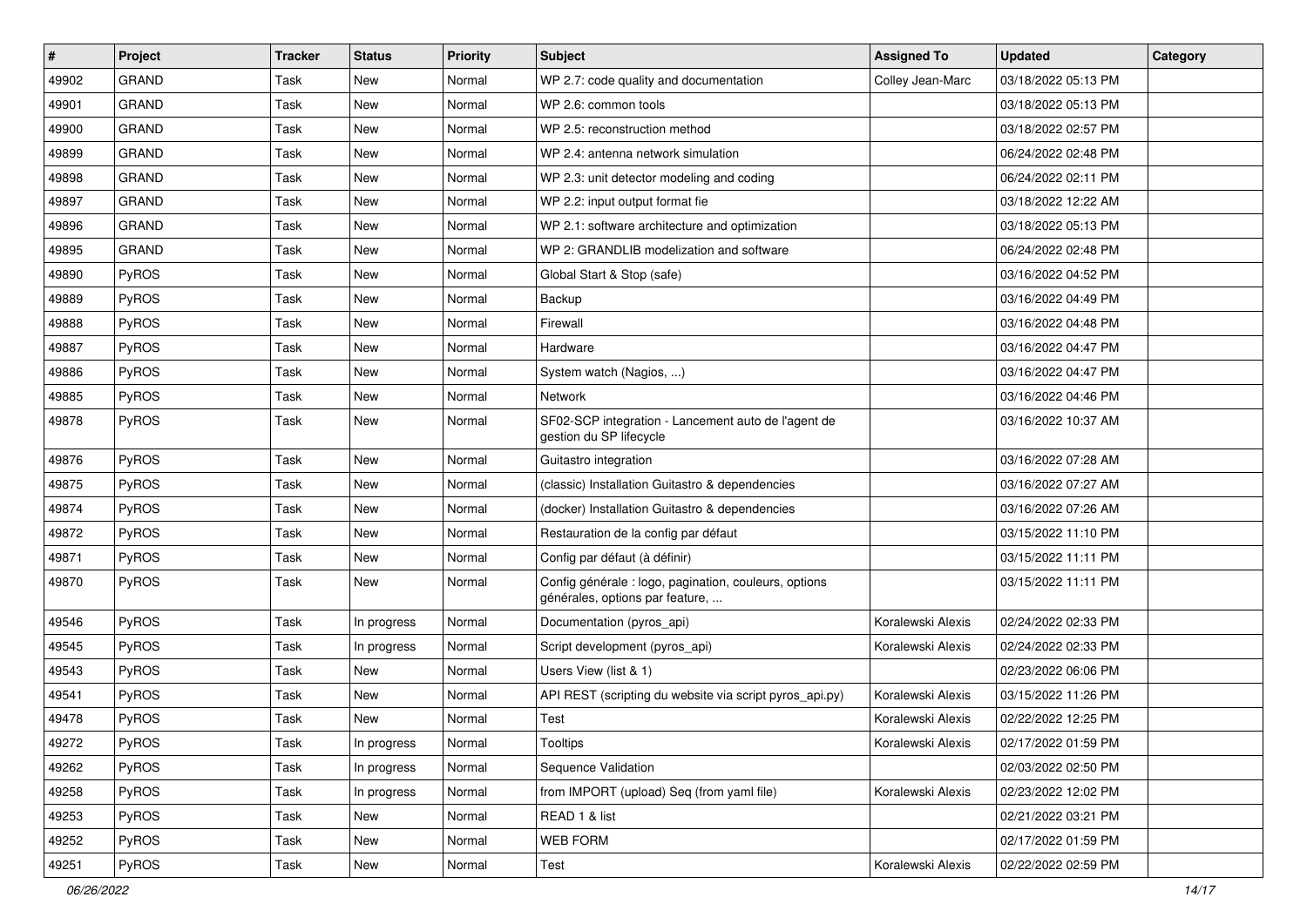| $\pmb{\#}$ | <b>Project</b> | <b>Tracker</b> | <b>Status</b> | <b>Priority</b> | <b>Subject</b>                                                                           | <b>Assigned To</b> | <b>Updated</b>      | Category |
|------------|----------------|----------------|---------------|-----------------|------------------------------------------------------------------------------------------|--------------------|---------------------|----------|
| 49902      | <b>GRAND</b>   | Task           | New           | Normal          | WP 2.7: code quality and documentation                                                   | Colley Jean-Marc   | 03/18/2022 05:13 PM |          |
| 49901      | <b>GRAND</b>   | Task           | New           | Normal          | WP 2.6: common tools                                                                     |                    | 03/18/2022 05:13 PM |          |
| 49900      | <b>GRAND</b>   | Task           | New           | Normal          | WP 2.5: reconstruction method                                                            |                    | 03/18/2022 02:57 PM |          |
| 49899      | <b>GRAND</b>   | Task           | New           | Normal          | WP 2.4: antenna network simulation                                                       |                    | 06/24/2022 02:48 PM |          |
| 49898      | <b>GRAND</b>   | Task           | New           | Normal          | WP 2.3: unit detector modeling and coding                                                |                    | 06/24/2022 02:11 PM |          |
| 49897      | <b>GRAND</b>   | Task           | New           | Normal          | WP 2.2: input output format fie                                                          |                    | 03/18/2022 12:22 AM |          |
| 49896      | <b>GRAND</b>   | Task           | New           | Normal          | WP 2.1: software architecture and optimization                                           |                    | 03/18/2022 05:13 PM |          |
| 49895      | <b>GRAND</b>   | Task           | New           | Normal          | WP 2: GRANDLIB modelization and software                                                 |                    | 06/24/2022 02:48 PM |          |
| 49890      | PyROS          | Task           | New           | Normal          | Global Start & Stop (safe)                                                               |                    | 03/16/2022 04:52 PM |          |
| 49889      | PyROS          | Task           | New           | Normal          | Backup                                                                                   |                    | 03/16/2022 04:49 PM |          |
| 49888      | PyROS          | Task           | New           | Normal          | Firewall                                                                                 |                    | 03/16/2022 04:48 PM |          |
| 49887      | PyROS          | Task           | New           | Normal          | Hardware                                                                                 |                    | 03/16/2022 04:47 PM |          |
| 49886      | PyROS          | Task           | New           | Normal          | System watch (Nagios, )                                                                  |                    | 03/16/2022 04:47 PM |          |
| 49885      | PyROS          | Task           | New           | Normal          | <b>Network</b>                                                                           |                    | 03/16/2022 04:46 PM |          |
| 49878      | PyROS          | Task           | New           | Normal          | SF02-SCP integration - Lancement auto de l'agent de<br>gestion du SP lifecycle           |                    | 03/16/2022 10:37 AM |          |
| 49876      | PyROS          | Task           | New           | Normal          | Guitastro integration                                                                    |                    | 03/16/2022 07:28 AM |          |
| 49875      | PyROS          | Task           | New           | Normal          | (classic) Installation Guitastro & dependencies                                          |                    | 03/16/2022 07:27 AM |          |
| 49874      | PyROS          | Task           | New           | Normal          | (docker) Installation Guitastro & dependencies                                           |                    | 03/16/2022 07:26 AM |          |
| 49872      | PyROS          | Task           | New           | Normal          | Restauration de la config par défaut                                                     |                    | 03/15/2022 11:10 PM |          |
| 49871      | PyROS          | Task           | New           | Normal          | Config par défaut (à définir)                                                            |                    | 03/15/2022 11:11 PM |          |
| 49870      | PyROS          | Task           | New           | Normal          | Config générale : logo, pagination, couleurs, options<br>générales, options par feature, |                    | 03/15/2022 11:11 PM |          |
| 49546      | PyROS          | Task           | In progress   | Normal          | Documentation (pyros_api)                                                                | Koralewski Alexis  | 02/24/2022 02:33 PM |          |
| 49545      | PyROS          | Task           | In progress   | Normal          | Script development (pyros_api)                                                           | Koralewski Alexis  | 02/24/2022 02:33 PM |          |
| 49543      | PyROS          | Task           | <b>New</b>    | Normal          | Users View (list & 1)                                                                    |                    | 02/23/2022 06:06 PM |          |
| 49541      | PyROS          | Task           | New           | Normal          | API REST (scripting du website via script pyros_api.py)                                  | Koralewski Alexis  | 03/15/2022 11:26 PM |          |
| 49478      | PyROS          | Task           | <b>New</b>    | Normal          | Test                                                                                     | Koralewski Alexis  | 02/22/2022 12:25 PM |          |
| 49272      | PyROS          | Task           | In progress   | Normal          | Tooltips                                                                                 | Koralewski Alexis  | 02/17/2022 01:59 PM |          |
| 49262      | PyROS          | Task           | In progress   | Normal          | Sequence Validation                                                                      |                    | 02/03/2022 02:50 PM |          |
| 49258      | PyROS          | Task           | In progress   | Normal          | from IMPORT (upload) Seq (from yaml file)                                                | Koralewski Alexis  | 02/23/2022 12:02 PM |          |
| 49253      | PyROS          | Task           | New           | Normal          | READ 1 & list                                                                            |                    | 02/21/2022 03:21 PM |          |
| 49252      | PyROS          | Task           | New           | Normal          | WEB FORM                                                                                 |                    | 02/17/2022 01:59 PM |          |
| 49251      | PyROS          | Task           | New           | Normal          | Test                                                                                     | Koralewski Alexis  | 02/22/2022 02:59 PM |          |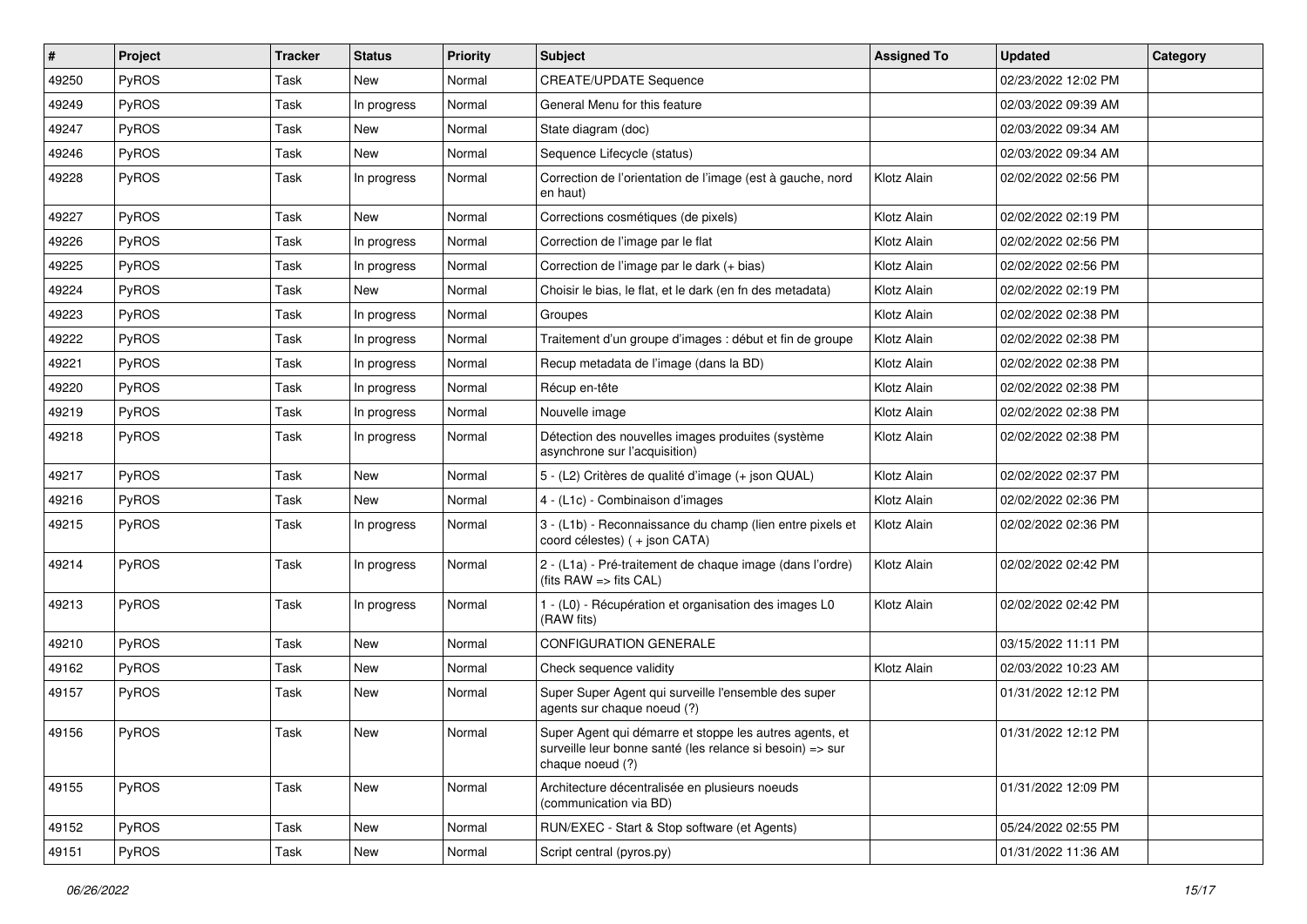| ∦     | Project      | Tracker | <b>Status</b> | <b>Priority</b> | <b>Subject</b>                                                                                                                           | <b>Assigned To</b> | <b>Updated</b>      | Category |
|-------|--------------|---------|---------------|-----------------|------------------------------------------------------------------------------------------------------------------------------------------|--------------------|---------------------|----------|
| 49250 | PyROS        | Task    | <b>New</b>    | Normal          | <b>CREATE/UPDATE Sequence</b>                                                                                                            |                    | 02/23/2022 12:02 PM |          |
| 49249 | PyROS        | Task    | In progress   | Normal          | General Menu for this feature                                                                                                            |                    | 02/03/2022 09:39 AM |          |
| 49247 | PyROS        | Task    | New           | Normal          | State diagram (doc)                                                                                                                      |                    | 02/03/2022 09:34 AM |          |
| 49246 | PyROS        | Task    | <b>New</b>    | Normal          | Sequence Lifecycle (status)                                                                                                              |                    | 02/03/2022 09:34 AM |          |
| 49228 | PyROS        | Task    | In progress   | Normal          | Correction de l'orientation de l'image (est à gauche, nord<br>en haut)                                                                   | Klotz Alain        | 02/02/2022 02:56 PM |          |
| 49227 | PyROS        | Task    | <b>New</b>    | Normal          | Corrections cosmétiques (de pixels)                                                                                                      | Klotz Alain        | 02/02/2022 02:19 PM |          |
| 49226 | <b>PyROS</b> | Task    | In progress   | Normal          | Correction de l'image par le flat                                                                                                        | Klotz Alain        | 02/02/2022 02:56 PM |          |
| 49225 | PyROS        | Task    | In progress   | Normal          | Correction de l'image par le dark (+ bias)                                                                                               | Klotz Alain        | 02/02/2022 02:56 PM |          |
| 49224 | PyROS        | Task    | <b>New</b>    | Normal          | Choisir le bias, le flat, et le dark (en fn des metadata)                                                                                | Klotz Alain        | 02/02/2022 02:19 PM |          |
| 49223 | PyROS        | Task    | In progress   | Normal          | Groupes                                                                                                                                  | Klotz Alain        | 02/02/2022 02:38 PM |          |
| 49222 | PyROS        | Task    | In progress   | Normal          | Traitement d'un groupe d'images : début et fin de groupe                                                                                 | Klotz Alain        | 02/02/2022 02:38 PM |          |
| 49221 | PyROS        | Task    | In progress   | Normal          | Recup metadata de l'image (dans la BD)                                                                                                   | Klotz Alain        | 02/02/2022 02:38 PM |          |
| 49220 | PyROS        | Task    | In progress   | Normal          | Récup en-tête                                                                                                                            | Klotz Alain        | 02/02/2022 02:38 PM |          |
| 49219 | PyROS        | Task    | In progress   | Normal          | Nouvelle image                                                                                                                           | Klotz Alain        | 02/02/2022 02:38 PM |          |
| 49218 | <b>PyROS</b> | Task    | In progress   | Normal          | Détection des nouvelles images produites (système<br>asynchrone sur l'acquisition)                                                       | Klotz Alain        | 02/02/2022 02:38 PM |          |
| 49217 | PyROS        | Task    | <b>New</b>    | Normal          | 5 - (L2) Critères de qualité d'image (+ json QUAL)                                                                                       | Klotz Alain        | 02/02/2022 02:37 PM |          |
| 49216 | PyROS        | Task    | <b>New</b>    | Normal          | 4 - (L1c) - Combinaison d'images                                                                                                         | Klotz Alain        | 02/02/2022 02:36 PM |          |
| 49215 | <b>PyROS</b> | Task    | In progress   | Normal          | 3 - (L1b) - Reconnaissance du champ (lien entre pixels et<br>coord célestes) (+ json CATA)                                               | Klotz Alain        | 02/02/2022 02:36 PM |          |
| 49214 | PyROS        | Task    | In progress   | Normal          | 2 - (L1a) - Pré-traitement de chaque image (dans l'ordre)<br>(fits RAW => fits CAL)                                                      | Klotz Alain        | 02/02/2022 02:42 PM |          |
| 49213 | PyROS        | Task    | In progress   | Normal          | 1 - (L0) - Récupération et organisation des images L0<br>(RAW fits)                                                                      | Klotz Alain        | 02/02/2022 02:42 PM |          |
| 49210 | PyROS        | Task    | <b>New</b>    | Normal          | <b>CONFIGURATION GENERALE</b>                                                                                                            |                    | 03/15/2022 11:11 PM |          |
| 49162 | PyROS        | Task    | New           | Normal          | Check sequence validity                                                                                                                  | Klotz Alain        | 02/03/2022 10:23 AM |          |
| 49157 | PyROS        | Task    | New           | Normal          | Super Super Agent qui surveille l'ensemble des super<br>agents sur chaque noeud (?)                                                      |                    | 01/31/2022 12:12 PM |          |
| 49156 | PyROS        | Task    | New           | Normal          | Super Agent qui démarre et stoppe les autres agents, et<br>surveille leur bonne santé (les relance si besoin) => sur<br>chaque noeud (?) |                    | 01/31/2022 12:12 PM |          |
| 49155 | PyROS        | Task    | New           | Normal          | Architecture décentralisée en plusieurs noeuds<br>(communication via BD)                                                                 |                    | 01/31/2022 12:09 PM |          |
| 49152 | PyROS        | Task    | New           | Normal          | RUN/EXEC - Start & Stop software (et Agents)                                                                                             |                    | 05/24/2022 02:55 PM |          |
| 49151 | PyROS        | Task    | New           | Normal          | Script central (pyros.py)                                                                                                                |                    | 01/31/2022 11:36 AM |          |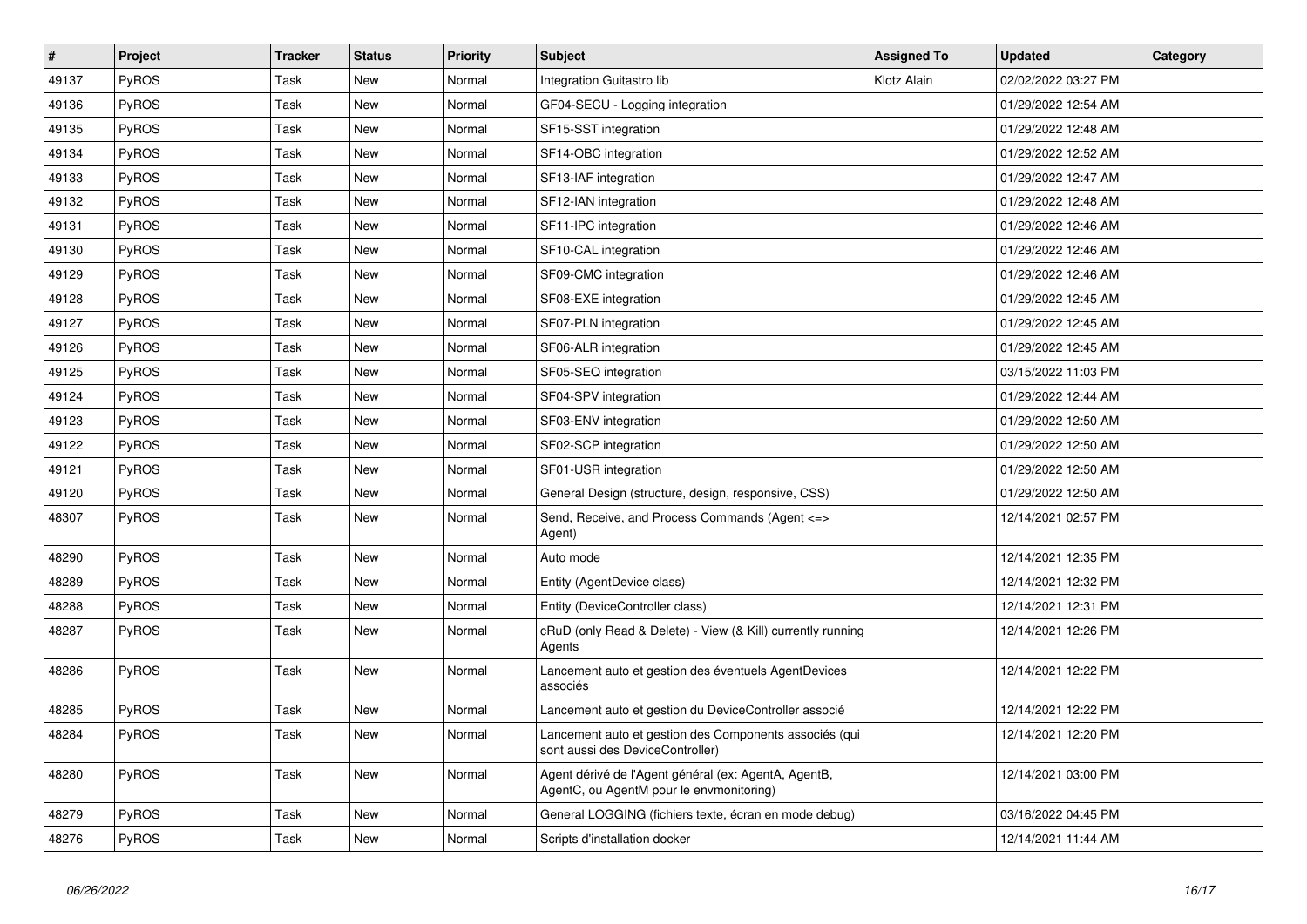| $\vert$ # | <b>Project</b> | <b>Tracker</b> | <b>Status</b> | <b>Priority</b> | <b>Subject</b>                                                                                   | <b>Assigned To</b> | <b>Updated</b>      | Category |
|-----------|----------------|----------------|---------------|-----------------|--------------------------------------------------------------------------------------------------|--------------------|---------------------|----------|
| 49137     | PyROS          | Task           | New           | Normal          | Integration Guitastro lib                                                                        | Klotz Alain        | 02/02/2022 03:27 PM |          |
| 49136     | PyROS          | Task           | New           | Normal          | GF04-SECU - Logging integration                                                                  |                    | 01/29/2022 12:54 AM |          |
| 49135     | <b>PyROS</b>   | Task           | <b>New</b>    | Normal          | SF15-SST integration                                                                             |                    | 01/29/2022 12:48 AM |          |
| 49134     | <b>PyROS</b>   | Task           | <b>New</b>    | Normal          | SF14-OBC integration                                                                             |                    | 01/29/2022 12:52 AM |          |
| 49133     | PyROS          | Task           | <b>New</b>    | Normal          | SF13-IAF integration                                                                             |                    | 01/29/2022 12:47 AM |          |
| 49132     | PyROS          | Task           | New           | Normal          | SF12-IAN integration                                                                             |                    | 01/29/2022 12:48 AM |          |
| 49131     | PyROS          | Task           | <b>New</b>    | Normal          | SF11-IPC integration                                                                             |                    | 01/29/2022 12:46 AM |          |
| 49130     | <b>PyROS</b>   | Task           | <b>New</b>    | Normal          | SF10-CAL integration                                                                             |                    | 01/29/2022 12:46 AM |          |
| 49129     | PyROS          | Task           | <b>New</b>    | Normal          | SF09-CMC integration                                                                             |                    | 01/29/2022 12:46 AM |          |
| 49128     | PyROS          | Task           | <b>New</b>    | Normal          | SF08-EXE integration                                                                             |                    | 01/29/2022 12:45 AM |          |
| 49127     | <b>PyROS</b>   | Task           | <b>New</b>    | Normal          | SF07-PLN integration                                                                             |                    | 01/29/2022 12:45 AM |          |
| 49126     | <b>PyROS</b>   | Task           | <b>New</b>    | Normal          | SF06-ALR integration                                                                             |                    | 01/29/2022 12:45 AM |          |
| 49125     | PyROS          | Task           | <b>New</b>    | Normal          | SF05-SEQ integration                                                                             |                    | 03/15/2022 11:03 PM |          |
| 49124     | PyROS          | Task           | <b>New</b>    | Normal          | SF04-SPV integration                                                                             |                    | 01/29/2022 12:44 AM |          |
| 49123     | <b>PyROS</b>   | Task           | <b>New</b>    | Normal          | SF03-ENV integration                                                                             |                    | 01/29/2022 12:50 AM |          |
| 49122     | <b>PyROS</b>   | Task           | <b>New</b>    | Normal          | SF02-SCP integration                                                                             |                    | 01/29/2022 12:50 AM |          |
| 49121     | PyROS          | Task           | <b>New</b>    | Normal          | SF01-USR integration                                                                             |                    | 01/29/2022 12:50 AM |          |
| 49120     | PyROS          | Task           | <b>New</b>    | Normal          | General Design (structure, design, responsive, CSS)                                              |                    | 01/29/2022 12:50 AM |          |
| 48307     | <b>PyROS</b>   | Task           | <b>New</b>    | Normal          | Send, Receive, and Process Commands (Agent <=><br>Agent)                                         |                    | 12/14/2021 02:57 PM |          |
| 48290     | PyROS          | Task           | <b>New</b>    | Normal          | Auto mode                                                                                        |                    | 12/14/2021 12:35 PM |          |
| 48289     | PyROS          | Task           | <b>New</b>    | Normal          | Entity (AgentDevice class)                                                                       |                    | 12/14/2021 12:32 PM |          |
| 48288     | <b>PyROS</b>   | Task           | <b>New</b>    | Normal          | Entity (DeviceController class)                                                                  |                    | 12/14/2021 12:31 PM |          |
| 48287     | PyROS          | Task           | <b>New</b>    | Normal          | cRuD (only Read & Delete) - View (& Kill) currently running<br>Agents                            |                    | 12/14/2021 12:26 PM |          |
| 48286     | PyROS          | Task           | <b>New</b>    | Normal          | Lancement auto et gestion des éventuels AgentDevices<br>associés                                 |                    | 12/14/2021 12:22 PM |          |
| 48285     | PyROS          | Task           | <b>New</b>    | Normal          | Lancement auto et gestion du DeviceController associé                                            |                    | 12/14/2021 12:22 PM |          |
| 48284     | <b>PyROS</b>   | Task           | New           | Normal          | Lancement auto et gestion des Components associés (qui<br>sont aussi des DeviceController)       |                    | 12/14/2021 12:20 PM |          |
| 48280     | PyROS          | Task           | New           | Normal          | Agent dérivé de l'Agent général (ex: AgentA, AgentB,<br>AgentC, ou AgentM pour le envmonitoring) |                    | 12/14/2021 03:00 PM |          |
| 48279     | PyROS          | Task           | <b>New</b>    | Normal          | General LOGGING (fichiers texte, écran en mode debug)                                            |                    | 03/16/2022 04:45 PM |          |
| 48276     | PyROS          | Task           | New           | Normal          | Scripts d'installation docker                                                                    |                    | 12/14/2021 11:44 AM |          |